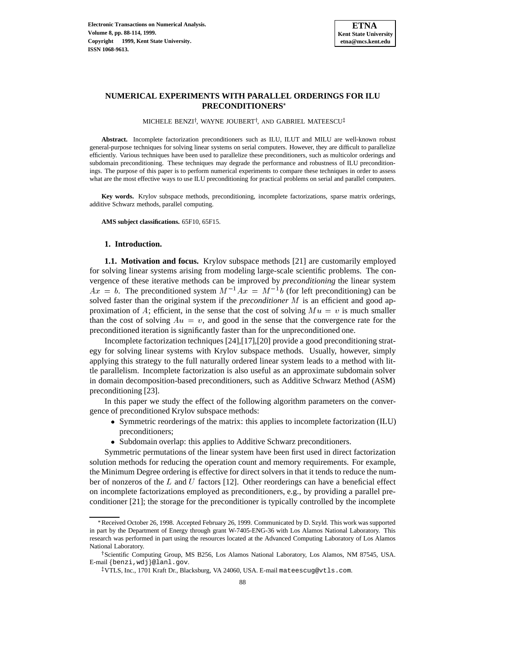# **NUMERICAL EXPERIMENTS WITH PARALLEL ORDERINGS FOR ILU PRECONDITIONERS**

MICHELE BENZI†, WAYNE JOUBERT†, AND GABRIEL MATEESCU‡

**Abstract.** Incomplete factorization preconditioners such as ILU, ILUT and MILU are well-known robust general-purpose techniques for solving linear systems on serial computers. However, they are difficult to parallelize efficiently. Various techniques have been used to parallelize these preconditioners, such as multicolor orderings and subdomain preconditioning. These techniques may degrade the performance and robustness of ILU preconditionings. The purpose of this paper is to perform numerical experiments to compare these techniques in order to assess what are the most effective ways to use ILU preconditioning for practical problems on serial and parallel computers.

**Key words.** Krylov subspace methods, preconditioning, incomplete factorizations, sparse matrix orderings, additive Schwarz methods, parallel computing.

**AMS subject classifications.** 65F10, 65F15.

#### **1. Introduction.**

**1.1. Motivation and focus.** Krylov subspace methods [21] are customarily employed for solving linear systems arising from modeling large-scale scientific problems. The convergence of these iterative methods can be improved by *preconditioning* the linear system  $Ax = b$ . The preconditioned system  $M^{-1}Ax = M^{-1}b$  (for left preconditioning) can be solved faster than the original system if the *preconditioner* M is an efficient and good approximation of A; efficient, in the sense that the cost of solving  $Mu = v$  is much smaller than the cost of solving  $Au = v$ , and good in the sense that the convergence rate for the preconditioned iteration is significantly faster than for the unpreconditioned one.

Incomplete factorization techniques [24],[17],[20] provide a good preconditioning strategy for solving linear systems with Krylov subspace methods. Usually, however, simply applying this strategy to the full naturally ordered linear system leads to a method with little parallelism. Incomplete factorization is also useful as an approximate subdomain solver in domain decomposition-based preconditioners, such as Additive Schwarz Method (ASM) preconditioning [23].

In this paper we study the effect of the following algorithm parameters on the convergence of preconditioned Krylov subspace methods:

- Symmetric reorderings of the matrix: this applies to incomplete factorization (ILU) preconditioners;
- Subdomain overlap: this applies to Additive Schwarz preconditioners.

Symmetric permutations of the linear system have been first used in direct factorization solution methods for reducing the operation count and memory requirements. For example, the Minimum Degree ordering is effective for direct solvers in that it tends to reduce the number of nonzeros of the  $L$  and  $U$  factors [12]. Other reorderings can have a beneficial effect on incomplete factorizations employed as preconditioners, e.g., by providing a parallel preconditioner [21]; the storage for the preconditioner is typically controlled by the incomplete

<sup>\*</sup>Received October 26, 1998. Accepted February 26, 1999. Communicated by D. Szyld. This work was supported in part by the Department of Energy through grant W-7405-ENG-36 with Los Alamos National Laboratory. This research was performed in part using the resources located at the Advanced Computing Laboratory of Los Alamos National Laboratory.

<sup>&</sup>lt;sup>†</sup> Scientific Computing Group, MS B256, Los Alamos National Laboratory, Los Alamos, NM 87545, USA. E-mail {benzi, wdj}@lanl.gov.

 $^\ddagger$ VTLS, Inc., 1701 Kraft Dr., Blacksburg, VA 24060, USA. E-mail mateescug@vtls.com.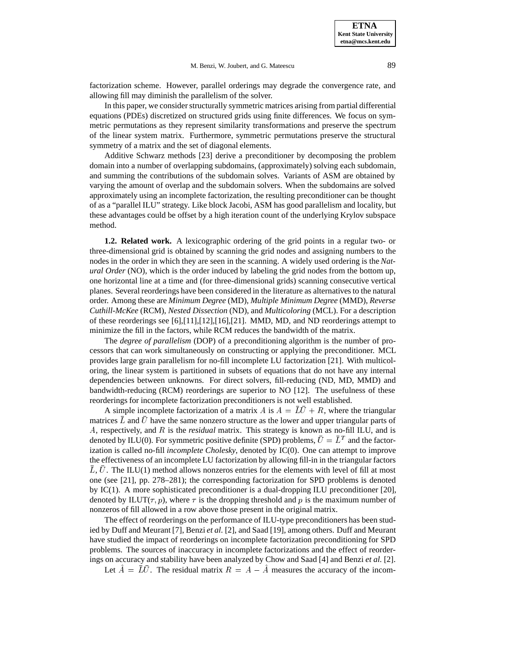factorization scheme. However, parallel orderings may degrade the convergence rate, and allowing fill may diminish the parallelism of the solver.

In this paper, we consider structurally symmetric matrices arising from partial differential equations (PDEs) discretized on structured grids using finite differences. We focus on symmetric permutations as they represent similarity transformations and preserve the spectrum of the linear system matrix. Furthermore, symmetric permutations preserve the structural symmetry of a matrix and the set of diagonal elements.

Additive Schwarz methods [23] derive a preconditioner by decomposing the problem domain into a number of overlapping subdomains, (approximately) solving each subdomain, and summing the contributions of the subdomain solves. Variants of ASM are obtained by varying the amount of overlap and the subdomain solvers. When the subdomains are solved approximately using an incomplete factorization, the resulting preconditioner can be thought of as a "parallel ILU" strategy. Like block Jacobi, ASM has good parallelism and locality, but these advantages could be offset by a high iteration count of the underlying Krylov subspace method.

**1.2. Related work.** A lexicographic ordering of the grid points in a regular two- or three-dimensional grid is obtained by scanning the grid nodes and assigning numbers to the nodes in the order in which they are seen in the scanning. A widely used ordering is the *Natural Order* (NO), which is the order induced by labeling the grid nodes from the bottom up, one horizontal line at a time and (for three-dimensional grids) scanning consecutive vertical planes. Several reorderings have been considered in the literature as alternatives to the natural order. Among these are *Minimum Degree* (MD), *Multiple Minimum Degree* (MMD), *Reverse Cuthill-McKee* (RCM), *Nested Dissection* (ND), and *Multicoloring* (MCL). For a description of these reorderings see  $[6]$ , $[11]$ , $[12]$ , $[16]$ , $[21]$ . MMD, MD, and ND reorderings attempt to minimize the fill in the factors, while RCM reduces the bandwidth of the matrix.

The *degree of parallelism* (DOP) of a preconditioning algorithm is the number of processors that can work simultaneously on constructing or applying the preconditioner. MCL provides large grain parallelism for no-fill incomplete LU factorization [21]. With multicoloring, the linear system is partitioned in subsets of equations that do not have any internal dependencies between unknowns. For direct solvers, fill-reducing (ND, MD, MMD) and bandwidth-reducing (RCM) reorderings are superior to NO [12]. The usefulness of these reorderings for incomplete factorization preconditioners is not well established.

A simple incomplete factorization of a matrix A is  $A = \overline{L}\overline{U} + R$ , where the triangular matrices  $L$  and  $U$  have the same nonzero structure as the lower and upper triangular parts of A, respectively, and R is the *residual* matrix. This strategy is known as no-fill ILU, and is denoted by ILU(0). For symmetric positive definite (SPD) problems,  $U = L<sup>T</sup>$  and the factorization is called no-fill *incomplete Cholesky*, denoted by IC(0). One can attempt to improve the effectiveness of an incomplete LU factorization by allowing fill-in in the triangular factors L, U. The ILU(1) method allows nonzeros entries for the elements with level of fill at most one (see [21], pp. 278–281); the corresponding factorization for SPD problems is denoted by IC(1). A more sophisticated preconditioner is a dual-dropping ILU preconditioner [20], denoted by ILUT( $\tau$ ,  $p$ ), where  $\tau$  is the dropping threshold and p is the maximum number of nonzeros of fill allowed in a row above those present in the original matrix.

The effect of reorderings on the performance of ILU-type preconditioners has been studied by Duff and Meurant [7], Benzi *et al.* [2], and Saad [19], among others. Duff and Meurant have studied the impact of reorderings on incomplete factorization preconditioning for SPD problems. The sources of inaccuracy in incomplete factorizations and the effect of reorderings on accuracy and stability have been analyzed by Chow and Saad [4] and Benzi *et al.* [2].

Let  $\hat{A} = \overline{L}\overline{U}$ . The residual matrix  $R = A - \hat{A}$  measures the accuracy of the incom-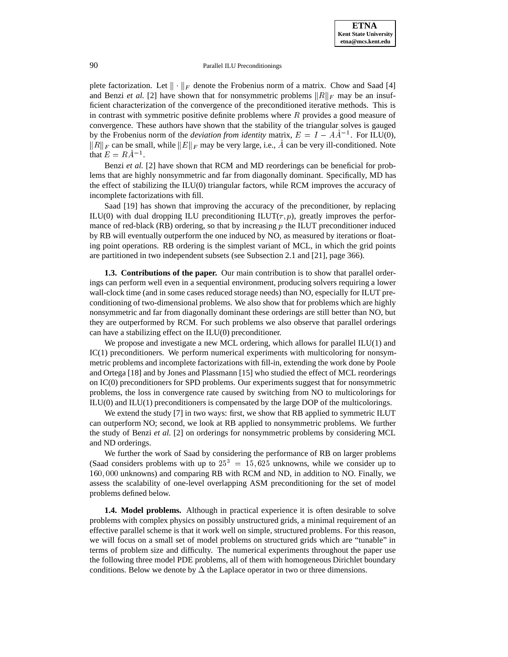plete factorization. Let  $\|\cdot\|_F$  denote the Frobenius norm of a matrix. Chow and Saad [4] and Benzi *et al.* [2] have shown that for nonsymmetric problems  $||R||_F$  may be an insufficient characterization of the convergence of the preconditioned iterative methods. This is in contrast with symmetric positive definite problems where  $R$  provides a good measure of convergence. These authors have shown that the stability of the triangular solves is gauged by the Frobenius norm of the *deviation from identity* matrix,  $E = I - AA^{-1}$ . For ILU(0),  $||R||_F$  can be small, while  $||E||_F$  may be very large, i.e., A can be very ill-conditioned. Note that  $E = RA^{-1}$ .

Benzi *et al.* [2] have shown that RCM and MD reorderings can be beneficial for problems that are highly nonsymmetric and far from diagonally dominant. Specifically, MD has the effect of stabilizing the ILU(0) triangular factors, while RCM improves the accuracy of incomplete factorizations with fill.

Saad [19] has shown that improving the accuracy of the preconditioner, by replacing ILU(0) with dual dropping ILU preconditioning ILUT( $\tau$ , p), greatly improves the performance of red-black  $(RB)$  ordering, so that by increasing p the ILUT preconditioner induced by RB will eventually outperform the one induced by NO, as measured by iterations or floating point operations. RB ordering is the simplest variant of MCL, in which the grid points are partitioned in two independent subsets (see Subsection 2.1 and [21], page 366).

**1.3. Contributions of the paper.** Our main contribution is to show that parallel orderings can perform well even in a sequential environment, producing solvers requiring a lower wall-clock time (and in some cases reduced storage needs) than NO, especially for ILUT preconditioning of two-dimensional problems. We also show that for problems which are highly nonsymmetric and far from diagonally dominant these orderings are still better than NO, but they are outperformed by RCM. For such problems we also observe that parallel orderings can have a stabilizing effect on the ILU(0) preconditioner.

We propose and investigate a new MCL ordering, which allows for parallel ILU(1) and  $IC(1)$  preconditioners. We perform numerical experiments with multicoloring for nonsymmetric problems and incomplete factorizations with fill-in, extending the work done by Poole and Ortega [18] and by Jones and Plassmann [15] who studied the effect of MCL reorderings on IC(0) preconditioners for SPD problems. Our experiments suggest that for nonsymmetric problems, the loss in convergence rate caused by switching from NO to multicolorings for  $ILU(0)$  and  $ILU(1)$  preconditioners is compensated by the large DOP of the multicolorings.

We extend the study [7] in two ways: first, we show that RB applied to symmetric ILUT can outperform NO; second, we look at RB applied to nonsymmetric problems. We further the study of Benzi *et al.* [2] on orderings for nonsymmetric problems by considering MCL and ND orderings.

We further the work of Saad by considering the performance of RB on larger problems (Saad considers problems with up to  $25^3 = 15,625$  unknowns, while we consider up to 160; <sup>000</sup> unknowns) and comparing RB with RCM and ND, in addition to NO. Finally, we assess the scalability of one-level overlapping ASM preconditioning for the set of model problems defined below.

**1.4. Model problems.** Although in practical experience it is often desirable to solve problems with complex physics on possibly unstructured grids, a minimal requirement of an effective parallel scheme is that it work well on simple, structured problems. For this reason, we will focus on a small set of model problems on structured grids which are "tunable" in terms of problem size and difficulty. The numerical experiments throughout the paper use the following three model PDE problems, all of them with homogeneous Dirichlet boundary conditions. Below we denote by  $\Delta$  the Laplace operator in two or three dimensions.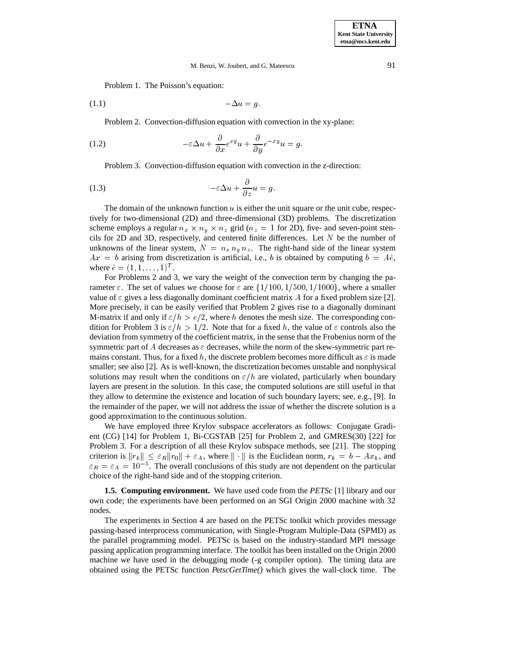Problem 1. The Poisson's equation:

$$
(1.1) \t -\Delta u = g.
$$

Problem 2. Convection-diffusion equation with convection in the xy-plane:

(1.2) 
$$
-\varepsilon \Delta u + \frac{\partial}{\partial x} e^{xy} u + \frac{\partial}{\partial y} e^{-xy} u = g.
$$

Problem 3. Convection-diffusion equation with convection in the z-direction:

(1.3) 
$$
-\varepsilon \Delta u + \frac{\partial}{\partial z} u = g.
$$

The domain of the unknown function  $u$  is either the unit square or the unit cube, respectively for two-dimensional (2D) and three-dimensional (3D) problems. The discretization scheme employs a regular  $n_x \times n_y \times n_z$  grid ( $n_z = 1$  for 2D), five- and seven-point stencils for 2D and 3D, respectively, and centered finite differences. Let  $N$  be the number of unknowns of the linear system,  $N = n_x n_y n_z$ . The right-hand side of the linear system  $Ax = b$  arising from discretization is artificial, i.e., b is obtained by computing  $b = A\hat{e}$ , where  $\hat{e} = (1, 1, \ldots, 1)^T$ .

For Problems 2 and 3, we vary the weight of the convection term by changing the parameter  $\varepsilon$ . The set of values we choose for  $\varepsilon$  are  $\{1/100, 1/500, 1/1000\}$ , where a smaller value of  $\varepsilon$  gives a less diagonally dominant coefficient matrix A for a fixed problem size [2]. More precisely, it can be easily verified that Problem 2 gives rise to a diagonally dominant M-matrix if and only if  $\varepsilon/h > e/2$ , where h denotes the mesh size. The corresponding condition for Problem 3 is  $\varepsilon/h > 1/2$ . Note that for a fixed h, the value of  $\varepsilon$  controls also the deviation from symmetry of the coefficient matrix, in the sense that the Frobenius norm of the symmetric part of A decreases as  $\varepsilon$  decreases, while the norm of the skew-symmetric part remains constant. Thus, for a fixed h, the discrete problem becomes more difficult as  $\varepsilon$  is made smaller; see also [2]. As is well-known, the discretization becomes unstable and nonphysical solutions may result when the conditions on  $\varepsilon/h$  are violated, particularly when boundary layers are present in the solution. In this case, the computed solutions are still useful in that they allow to determine the existence and location of such boundary layers; see, e.g., [9]. In the remainder of the paper, we will not address the issue of whether the discrete solution is a good approximation to the continuous solution.

We have employed three Krylov subspace accelerators as follows: Conjugate Gradient (CG) [14] for Problem 1, Bi-CGSTAB [25] for Problem 2, and GMRES(30) [22] for Problem 3. For a description of all these Krylov subspace methods, see [21]. The stopping criterion is  $||r_k|| \leq \varepsilon_R ||r_0|| + \varepsilon_A$ , where  $|| \cdot ||$  is the Euclidean norm,  $r_k = b - Ax_k$ , and  $\varepsilon_R = \varepsilon_A = 10^{-5}$ . The overall conclusions of this study are not dependent on the particular choice of the right-hand side and of the stopping criterion.

**1.5. Computing environment.** We have used code from the *PETSc* [1] library and our own code; the experiments have been performed on an SGI Origin 2000 machine with 32 nodes.

The experiments in Section 4 are based on the PETSc toolkit which provides message passing-based interprocess communication, with Single-Program Multiple-Data (SPMD) as the parallel programming model. PETSc is based on the industry-standard MPI message passing application programming interface. The toolkit has been installed on the Origin 2000 machine we have used in the debugging mode (-g compiler option). The timing data are obtained using the PETSc function *PetscGetTime()* which gives the wall-clock time. The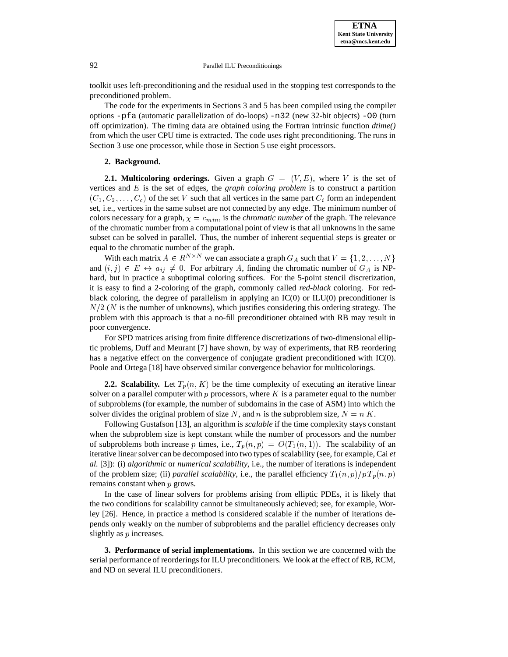toolkit uses left-preconditioning and the residual used in the stopping test corresponds to the preconditioned problem.

The code for the experiments in Sections 3 and 5 has been compiled using the compiler options -pfa (automatic parallelization of do-loops) -n32 (new 32-bit objects) -O0 (turn off optimization). The timing data are obtained using the Fortran intrinsic function *dtime()* from which the user CPU time is extracted. The code uses right preconditioning. The runs in Section 3 use one processor, while those in Section 5 use eight processors.

## **2. Background.**

**2.1. Multicoloring orderings.** Given a graph  $G = (V, E)$ , where V is the set of vertices and E is the set of edges, the *graph coloring problem* is to construct a partition  $(C_1, C_2, \ldots, C_c)$  of the set V such that all vertices in the same part  $C_i$  form an independent set, i.e., vertices in the same subset are not connected by any edge. The minimum number of colors necessary for a graph,  $\chi = c_{min}$ , is the *chromatic number* of the graph. The relevance of the chromatic number from a computational point of view is that all unknowns in the same subset can be solved in parallel. Thus, the number of inherent sequential steps is greater or equal to the chromatic number of the graph.

With each matrix  $A \in \mathbb{R}^{N \times N}$  we can associate a graph  $G_A$  such that  $V = \{1, 2, \ldots, N\}$ and  $(i, j) \in E \leftrightarrow a_{ij} \neq 0$ . For arbitrary A, finding the chromatic number of  $G_A$  is NPhard, but in practice a suboptimal coloring suffices. For the 5-point stencil discretization, it is easy to find a 2-coloring of the graph, commonly called *red-black* coloring. For redblack coloring, the degree of parallelism in applying an  $IC(0)$  or  $ILU(0)$  preconditioner is  $N/2$  (N is the number of unknowns), which justifies considering this ordering strategy. The problem with this approach is that a no-fill preconditioner obtained with RB may result in poor convergence.

For SPD matrices arising from finite difference discretizations of two-dimensional elliptic problems, Duff and Meurant [7] have shown, by way of experiments, that RB reordering has a negative effect on the convergence of conjugate gradient preconditioned with IC(0). Poole and Ortega [18] have observed similar convergence behavior for multicolorings.

**2.2. Scalability.** Let  $T_p(n, K)$  be the time complexity of executing an iterative linear solver on a parallel computer with  $p$  processors, where  $K$  is a parameter equal to the number of subproblems (for example, the number of subdomains in the case of ASM) into which the solver divides the original problem of size N, and n is the subproblem size,  $N = n K$ .

Following Gustafson [13], an algorithm is *scalable* if the time complexity stays constant when the subproblem size is kept constant while the number of processors and the number of subproblems both increase p times, i.e.,  $T_p(n, p) = O(T_1(n, 1))$ . The scalability of an iterative linear solver can be decomposed into two types of scalability (see, for example, Cai *et al.* [3]): (i) *algorithmic* or *numerical scalability*, i.e., the number of iterations is independent of the problem size; (ii) *parallel scalability*, i.e., the parallel efficiency  $T_1(n, p)/p T_p(n, p)$ remains constant when p grows.

In the case of linear solvers for problems arising from elliptic PDEs, it is likely that the two conditions for scalability cannot be simultaneously achieved; see, for example, Worley [26]. Hence, in practice a method is considered scalable if the number of iterations depends only weakly on the number of subproblems and the parallel efficiency decreases only slightly as p increases.

**3. Performance of serial implementations.** In this section we are concerned with the serial performance of reorderings for ILU preconditioners. We look at the effect of RB, RCM, and ND on several ILU preconditioners.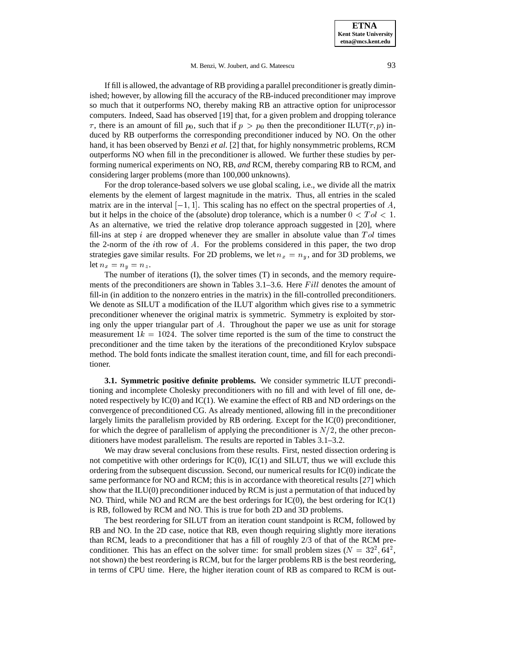If fill is allowed, the advantage of RB providing a parallel preconditioner is greatly diminished; however, by allowing fill the accuracy of the RB-induced preconditioner may improve so much that it outperforms NO, thereby making RB an attractive option for uniprocessor computers. Indeed, Saad has observed [19] that, for a given problem and dropping tolerance  $\tau$ , there is an amount of fill  $p_0$ , such that if  $p > p_0$  then the preconditioner ILUT( $\tau$ , p) induced by RB outperforms the corresponding preconditioner induced by NO. On the other hand, it has been observed by Benzi *et al.* [2] that, for highly nonsymmetric problems, RCM outperforms NO when fill in the preconditioner is allowed. We further these studies by performing numerical experiments on NO, RB, *and* RCM, thereby comparing RB to RCM, and considering larger problems (more than 100,000 unknowns).

For the drop tolerance-based solvers we use global scaling, i.e., we divide all the matrix elements by the element of largest magnitude in the matrix. Thus, all entries in the scaled matrix are in the interval  $[-1, 1]$ . This scaling has no effect on the spectral properties of A, but it helps in the choice of the (absolute) drop tolerance, which is a number  $0 < Tol < 1$ . As an alternative, we tried the relative drop tolerance approach suggested in [20], where fill-ins at step  $i$  are dropped whenever they are smaller in absolute value than  $Tol$  times the 2-norm of the *i*th row of  $A$ . For the problems considered in this paper, the two drop strategies gave similar results. For 2D problems, we let  $n_x = n_y$ , and for 3D problems, we let  $n_x = n_y = n_z$ .

The number of iterations (I), the solver times (T) in seconds, and the memory requirements of the preconditioners are shown in Tables  $3.1-3.6$ . Here Fill denotes the amount of fill-in (in addition to the nonzero entries in the matrix) in the fill-controlled preconditioners. We denote as SILUT a modification of the ILUT algorithm which gives rise to a symmetric preconditioner whenever the original matrix is symmetric. Symmetry is exploited by storing only the upper triangular part of A. Throughout the paper we use as unit for storage measurement  $1k = 1024$ . The solver time reported is the sum of the time to construct the preconditioner and the time taken by the iterations of the preconditioned Krylov subspace method. The bold fonts indicate the smallest iteration count, time, and fill for each preconditioner.

**3.1. Symmetric positive definite problems.** We consider symmetric ILUT preconditioning and incomplete Cholesky preconditioners with no fill and with level of fill one, denoted respectively by IC(0) and IC(1). We examine the effect of RB and ND orderings on the convergence of preconditioned CG. As already mentioned, allowing fill in the preconditioner largely limits the parallelism provided by RB ordering. Except for the IC(0) preconditioner, for which the degree of parallelism of applying the preconditioner is  $N/2$ , the other preconditioners have modest parallelism. The results are reported in Tables 3.1–3.2.

We may draw several conclusions from these results. First, nested dissection ordering is not competitive with other orderings for  $IC(0)$ ,  $IC(1)$  and SILUT, thus we will exclude this ordering from the subsequent discussion. Second, our numerical results for IC(0) indicate the same performance for NO and RCM; this is in accordance with theoretical results [27] which show that the  $ILU(0)$  preconditioner induced by RCM is just a permutation of that induced by NO. Third, while NO and RCM are the best orderings for  $IC(0)$ , the best ordering for  $IC(1)$ is RB, followed by RCM and NO. This is true for both 2D and 3D problems.

The best reordering for SILUT from an iteration count standpoint is RCM, followed by RB and NO. In the 2D case, notice that RB, even though requiring slightly more iterations than RCM, leads to a preconditioner that has a fill of roughly 2/3 of that of the RCM preconditioner. This has an effect on the solver time: for small problem sizes  $(N = 32<sup>2</sup>, 64<sup>2</sup>,$ not shown) the best reordering is RCM, but for the larger problems RB is the best reordering, in terms of CPU time. Here, the higher iteration count of RB as compared to RCM is out-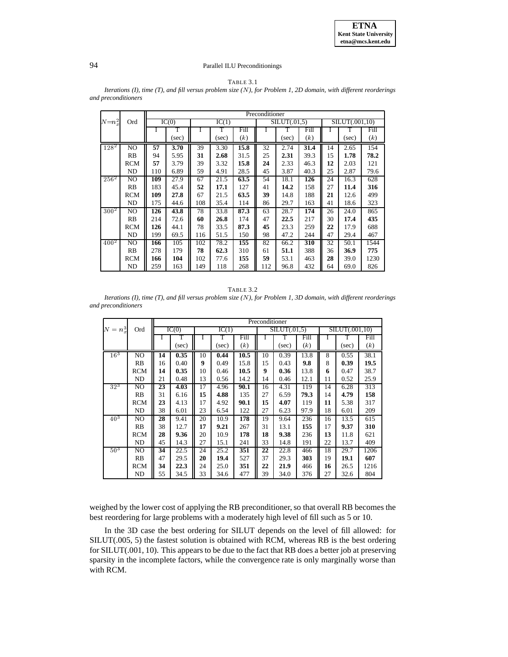

#### TABLE 3.1

|                  |            |     |       | Preconditioner |       |      |     |             |      |    |                |      |  |  |
|------------------|------------|-----|-------|----------------|-------|------|-----|-------------|------|----|----------------|------|--|--|
| $N = n_x^2$      | Ord        |     | IC(0) |                | IC(1) |      |     | SLUT(.01.5) |      |    | SILUT(.001,10) |      |  |  |
|                  |            |     | т     | I              | T     | Fill | I   |             | Fill |    |                | Fill |  |  |
|                  |            |     | (sec) |                | (sec) | (k)  |     | (sec)       | (k)  |    | (sec)          | (k)  |  |  |
| $128^2$          | NO         | 57  | 3.70  | 39             | 3.30  | 15.8 | 32  | 2.74        | 31.4 | 14 | 2.65           | 154  |  |  |
|                  | RB         | 94  | 5.95  | 31             | 2.68  | 31.5 | 25  | 2.31        | 39.3 | 15 | 1.78           | 78.2 |  |  |
|                  | <b>RCM</b> | 57  | 3.79  | 39             | 3.32  | 15.8 | 24  | 2.33        | 46.3 | 12 | 2.03           | 121  |  |  |
|                  | ND         | 110 | 6.89  | 59             | 4.91  | 28.5 | 45  | 3.87        | 40.3 | 25 | 2.87           | 79.6 |  |  |
| $256^2$          | NO         | 109 | 27.9  | 67             | 21.5  | 63.5 | 54  | 18.1        | 126  | 24 | 16.3           | 628  |  |  |
|                  | RB         | 183 | 45.4  | 52             | 17.1  | 127  | 41  | 14.2        | 158  | 27 | 11.4           | 316  |  |  |
|                  | <b>RCM</b> | 109 | 27.8  | 67             | 21.5  | 63.5 | 39  | 14.8        | 188  | 21 | 12.6           | 499  |  |  |
|                  | ND         | 175 | 44.6  | 108            | 35.4  | 114  | 86  | 29.7        | 163  | 41 | 18.6           | 323  |  |  |
| $300^{2}$        | NO         | 126 | 43.8  | 78             | 33.8  | 87.3 | 63  | 28.7        | 174  | 26 | 24.0           | 865  |  |  |
|                  | RB         | 214 | 72.6  | 60             | 26.8  | 174  | 47  | 22.5        | 217  | 30 | 17.4           | 435  |  |  |
|                  | <b>RCM</b> | 126 | 44.1  | 78             | 33.5  | 87.3 | 45  | 23.3        | 259  | 22 | 17.9           | 688  |  |  |
|                  | ND         | 199 | 69.5  | 116            | 51.5  | 150  | 98  | 47.2        | 244  | 47 | 29.4           | 467  |  |  |
| 400 <sup>2</sup> | NO         | 166 | 105   | 102            | 78.2  | 155  | 82  | 66.2        | 310  | 32 | 50.1           | 1544 |  |  |
|                  | RB         | 278 | 179   | 78             | 62.3  | 310  | 61  | 51.1        | 388  | 36 | 36.9           | 775  |  |  |
|                  | <b>RCM</b> | 166 | 104   | 102            | 77.6  | 155  | 59  | 53.1        | 463  | 28 | 39.0           | 1230 |  |  |
|                  | ND         | 259 | 163   | 149            | 118   | 268  | 112 | 96.8        | 432  | 64 | 69.0           | 826  |  |  |

*Iterations (I), time (T), and fill versus problem size (*N*), for Problem 1, 2D domain, with different reorderings and preconditioners*

| TABLE 3.2                                                                                                              |  |
|------------------------------------------------------------------------------------------------------------------------|--|
| Iterations (I), time $(T)$ , and fill versus problem size $(N)$ , for Problem 1, 3D domain, with different reorderings |  |
| and preconditioners                                                                                                    |  |

|                 |                |    | Preconditioner |    |       |      |    |              |      |    |                |      |
|-----------------|----------------|----|----------------|----|-------|------|----|--------------|------|----|----------------|------|
| $N = n_x^3$     | Ord            |    | IC(0)          |    | IC(1) |      |    | SILUT(.01.5) |      |    | SILUT(.001,10) |      |
|                 |                | ı  | T              | 1  | T     | Fill |    | Т            | Fill |    | T              | Fill |
|                 |                |    | (sec)          |    | (sec) | (k)  |    | (sec)        | (k)  |    | (sec)          | (k)  |
| 16 <sup>3</sup> | N <sub>O</sub> | 14 | 0.35           | 10 | 0.44  | 10.5 | 10 | 0.39         | 13.8 | 8  | 0.55           | 38.1 |
|                 | RB             | 16 | 0.40           | 9  | 0.49  | 15.8 | 15 | 0.43         | 9.8  | 8  | 0.39           | 19.5 |
|                 | <b>RCM</b>     | 14 | 0.35           | 10 | 0.46  | 10.5 | 9  | 0.36         | 13.8 | 6  | 0.47           | 38.7 |
|                 | ND             | 21 | 0.48           | 13 | 0.56  | 14.2 | 14 | 0.46         | 12.1 | 11 | 0.52           | 25.9 |
| $32^{3}$        | NO             | 23 | 4.03           | 17 | 4.96  | 90.1 | 16 | 4.31         | 119  | 14 | 6.28           | 313  |
|                 | RB             | 31 | 6.16           | 15 | 4.88  | 135  | 27 | 6.59         | 79.3 | 14 | 4.79           | 158  |
|                 | <b>RCM</b>     | 23 | 4.13           | 17 | 4.92  | 90.1 | 15 | 4.07         | 119  | 11 | 5.38           | 317  |
|                 | ND             | 38 | 6.01           | 23 | 6.54  | 122  | 27 | 6.23         | 97.9 | 18 | 6.01           | 209  |
| 40 <sup>3</sup> | NO             | 28 | 9.41           | 20 | 10.9  | 178  | 19 | 9.64         | 236  | 16 | 13.5           | 615  |
|                 | RB             | 38 | 12.7           | 17 | 9.21  | 267  | 31 | 13.1         | 155  | 17 | 9.37           | 310  |
|                 | <b>RCM</b>     | 28 | 9.36           | 20 | 10.9  | 178  | 18 | 9.38         | 236  | 13 | 11.8           | 621  |
|                 | ND             | 45 | 14.3           | 27 | 15.1  | 241  | 33 | 14.8         | 191  | 22 | 13.7           | 409  |
| $50^{3}$        | NO             | 34 | 22.5           | 24 | 25.2  | 351  | 22 | 22.8         | 466  | 18 | 29.7           | 1206 |
|                 | RB             | 47 | 29.5           | 20 | 19.4  | 527  | 37 | 29.3         | 303  | 19 | 19.1           | 607  |
|                 | <b>RCM</b>     | 34 | 22.3           | 24 | 25.0  | 351  | 22 | 21.9         | 466  | 16 | 26.5           | 1216 |
|                 | ND             | 55 | 34.5           | 33 | 34.6  | 477  | 39 | 34.0         | 376  | 27 | 32.6           | 804  |

weighed by the lower cost of applying the RB preconditioner, so that overall RB becomes the best reordering for large problems with a moderately high level of fill such as 5 or 10.

In the 3D case the best ordering for SILUT depends on the level of fill allowed: for SILUT(.005, 5) the fastest solution is obtained with RCM, whereas RB is the best ordering for SILUT(.001, 10). This appears to be due to the fact that RB does a better job at preserving sparsity in the incomplete factors, while the convergence rate is only marginally worse than with RCM.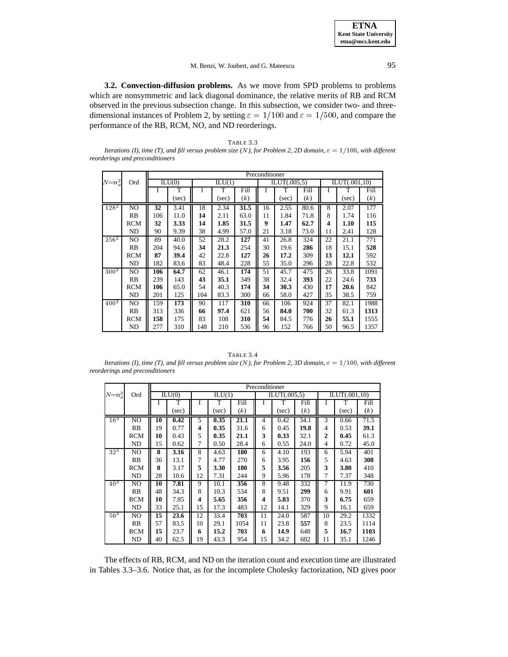**3.2. Convection-diffusion problems.** As we move from SPD problems to problems which are nonsymmetric and lack diagonal dominance, the relative merits of RB and RCM observed in the previous subsection change. In this subsection, we consider two- and threedimensional instances of Problem 2, by setting  $\varepsilon = 1/100$  and  $\varepsilon = 1/500$ , and compare the performance of the RB, RCM, NO, and ND reorderings.

TABLE 3.3 *Iterations (I), time (T), and fill versus problem size (N), for Problem 2, 2D domain,*  $\varepsilon = 1/100$ *, with different reorderings and preconditioners*

|                    |                |     |        |     |                            |      | Preconditioner |              |      |    |               |      |
|--------------------|----------------|-----|--------|-----|----------------------------|------|----------------|--------------|------|----|---------------|------|
| $N = n_x^2$        | Ord            |     | ILU(0) |     | $\overline{\text{ILU}}(1)$ |      |                | ILUT(.005,5) |      |    | ILUT(.001,10) |      |
|                    |                |     |        |     |                            |      |                |              |      |    |               |      |
|                    |                |     | T      | Ι   | T                          | Fill | I              | T            | Fill |    | T             | Fill |
|                    |                |     | (sec)  |     | (sec)                      | (k)  |                | (sec)        | (k)  |    | (sec)         | (k)  |
| $128^{2}$          | N <sub>O</sub> | 32  | 3.41   | 18  | 2.34                       | 31.5 | 16             | 2.55         | 80.6 | 8  | 2.07          | 177  |
|                    | <b>RB</b>      | 106 | 11.0   | 14  | 2.11                       | 63.0 | 11             | 1.84         | 71.8 | 8  | 1.74          | 116  |
|                    | <b>RCM</b>     | 32  | 3.33   | 14  | 1.85                       | 31.5 | 9              | 1.47         | 62.7 | 4  | 1.10          | 115  |
|                    | ND             | 90  | 9.39   | 38  | 4.99                       | 57.0 | 21             | 3.18         | 73.0 | 11 | 2.41          | 128  |
| $25\overline{6}^2$ | NO.            | 89  | 40.0   | 52  | 28.2                       | 127  | 41             | 26.8         | 324  | 22 | 21.1          | 771  |
|                    | <b>RB</b>      | 204 | 94.6   | 34  | 21.3                       | 254  | 30             | 19.6         | 286  | 18 | 15.1          | 528  |
|                    | <b>RCM</b>     | 87  | 39.4   | 42  | 22.8                       | 127  | 26             | 17.2         | 309  | 13 | 12.1          | 592  |
|                    | ND             | 182 | 83.6   | 83  | 48.4                       | 228  | 55             | 35.0         | 296  | 28 | 22.8          | 532  |
| $30\overline{0}^2$ | NO.            | 106 | 64.7   | 62  | 46.1                       | 174  | 51             | 45.7         | 475  | 26 | 33.8          | 1091 |
|                    | <b>RB</b>      | 239 | 143    | 43  | 35.1                       | 349  | 38             | 32.4         | 393  | 22 | 24.6          | 733  |
|                    | <b>RCM</b>     | 106 | 65.0   | 54  | 40.3                       | 174  | 34             | 30.3         | 430  | 17 | 20.6          | 842  |
|                    | ND             | 201 | 125    | 104 | 83.3                       | 300  | 66             | 58.0         | 427  | 35 | 38.5          | 759  |
| $400^{2}$          | N <sub>O</sub> | 159 | 173    | 90  | 117                        | 310  | 66             | 106          | 924  | 37 | 82.1          | 1988 |
|                    | <b>RB</b>      | 313 | 336    | 66  | 97.4                       | 621  | 56             | 84.0         | 700  | 32 | 61.3          | 1313 |
|                    | <b>RCM</b>     | 158 | 175    | 83  | 108                        | 310  | 54             | 84.5         | 776  | 26 | 55.1          | 1555 |
|                    | ND             | 277 | 310    | 148 | 210                        | 536  | 96             | 152          | 766  | 50 | 96.5          | 1357 |

TABLE 3.4

*Iterations (I), time (T), and fill versus problem size (N), for Problem 2, 3D domain,*  $\varepsilon = 1/100$ *, with different reorderings and preconditioners*

|                 |            |    |        |    |        |      | Preconditioner |              |      |    |               |      |
|-----------------|------------|----|--------|----|--------|------|----------------|--------------|------|----|---------------|------|
| $N = n_x^3$     | Ord        |    | ILU(0) |    | ILU(1) |      |                | ILUT(.005,5) |      |    | ILUT(.001,10) |      |
|                 |            |    | T      |    | T      | Fill |                | T            | Fill |    | т             | Fill |
|                 |            |    | (sec)  |    | (sec)  | (k)  |                | (sec)        | (k)  |    | (sec)         | (k)  |
| $16^{3}$        | NO         | 10 | 0.42   | 5  | 0.35   | 21.1 | 4              | 0.42         | 34.1 | 3  | 0.66          | 71.5 |
|                 | <b>RB</b>  | 19 | 0.77   | 4  | 0.35   | 31.6 | 6              | 0.45         | 19.8 | 4  | 0.53          | 39.1 |
|                 | <b>RCM</b> | 10 | 0.43   | 5  | 0.35   | 21.1 | 3              | 0.33         | 32.1 | 2  | 0.45          | 61.3 |
|                 | ND         | 15 | 0.62   | 7  | 0.50   | 28.4 | 6              | 0.55         | 24.0 | 4  | 0.72          | 45.0 |
| $32^3$          | NO.        | 8  | 3.16   | 8  | 4.63   | 180  | 6              | 4.10         | 193  | 6  | 5.94          | 401  |
|                 | RB         | 36 | 13.1   | 7  | 4.77   | 270  | 6              | 3.95         | 156  | 5  | 4.63          | 308  |
|                 | <b>RCM</b> | 8  | 3.17   | 5  | 3.30   | 180  | 5              | 3.56         | 205  | 3  | 3.80          | 410  |
|                 | ND         | 28 | 10.6   | 12 | 7.31   | 244  | 9              | 5.96         | 178  | 7  | 7.37          | 348  |
| $40^{3}$        | NO.        | 10 | 7.81   | 9  | 10.1   | 356  | 8              | 9.48         | 332  | 7  | 11.9          | 730  |
|                 | RB         | 48 | 34.3   | 8  | 10.3   | 534  | 8              | 9.51         | 299  | 6  | 9.91          | 601  |
|                 | <b>RCM</b> | 10 | 7.85   | 4  | 5.65   | 356  | 4              | 5.83         | 370  | 3  | 6.75          | 659  |
|                 | ND         | 33 | 25.1   | 15 | 17.3   | 483  | 12             | 14.1         | 329  | 9  | 16.1          | 659  |
| 50 <sup>3</sup> | NO.        | 15 | 23.6   | 12 | 33.4   | 703  | 11             | 24.0         | 587  | 10 | 29.2          | 1332 |
|                 | RB         | 57 | 83.5   | 10 | 29.1   | 1054 | 11             | 23.8         | 557  | 8  | 23.5          | 1114 |
|                 | <b>RCM</b> | 15 | 23.7   | 6  | 15.2   | 703  | 6              | 14.9         | 648  | 5  | 16.7          | 1103 |
|                 | ND         | 40 | 62.5   | 19 | 43.3   | 954  | 15             | 34.2         | 602  | 11 | 35.1          | 1246 |

The effects of RB, RCM, and ND on the iteration count and execution time are illustrated in Tables 3.3–3.6. Notice that, as for the incomplete Cholesky factorization, ND gives poor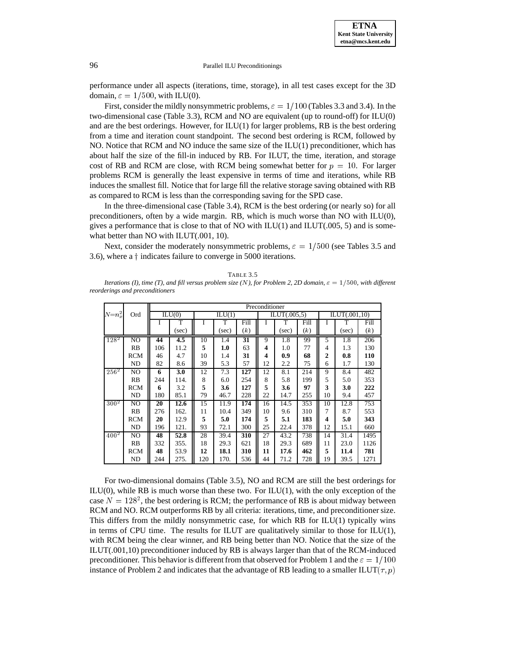

performance under all aspects (iterations, time, storage), in all test cases except for the 3D domain,  $\varepsilon = 1/500$ , with ILU(0).

First, consider the mildly nonsymmetric problems,  $\varepsilon = 1/100$  (Tables 3.3 and 3.4). In the two-dimensional case (Table 3.3), RCM and NO are equivalent (up to round-off) for ILU(0) and are the best orderings. However, for  $ILU(1)$  for larger problems, RB is the best ordering from a time and iteration count standpoint. The second best ordering is RCM, followed by NO. Notice that RCM and NO induce the same size of the ILU(1) preconditioner, which has about half the size of the fill-in induced by RB. For ILUT, the time, iteration, and storage cost of RB and RCM are close, with RCM being somewhat better for  $p = 10$ . For larger problems RCM is generally the least expensive in terms of time and iterations, while RB induces the smallest fill. Notice that for large fill the relative storage saving obtained with RB as compared to RCM is less than the corresponding saving for the SPD case.

In the three-dimensional case (Table 3.4), RCM is the best ordering (or nearly so) for all preconditioners, often by a wide margin. RB, which is much worse than NO with ILU(0), gives a performance that is close to that of NO with  $ILU(1)$  and  $ILUT(.005, 5)$  and is somewhat better than NO with ILUT(.001, 10).

Next, consider the moderately nonsymmetric problems,  $\varepsilon = 1/500$  (see Tables 3.5 and 3.6), where a  $\dagger$  indicates failure to converge in 5000 iterations.

| <b>TABLE 3.5</b>                                                                                                             |  |
|------------------------------------------------------------------------------------------------------------------------------|--|
| Iterations (I), time (T), and fill versus problem size (N), for Problem 2, 2D domain, $\varepsilon = 1/500$ , with different |  |
| reorderings and preconditioners                                                                                              |  |

|             |                |     | Preconditioner |     |        |      |    |              |      |    |               |      |
|-------------|----------------|-----|----------------|-----|--------|------|----|--------------|------|----|---------------|------|
| $N = n_x^2$ | Ord            |     | ILU(0)         |     | ILU(1) |      |    | ILUT(.005,5) |      |    | ILUT(.001,10) |      |
|             |                |     | T              |     | T      | Fill |    | T            | Fill |    | т             | Fill |
|             |                |     | (sec)          |     | (sec)  | (k)  |    | (sec)        | (k)  |    | (sec)         | (k)  |
| $128^{2}$   | N <sub>O</sub> | 44  | 4.5            | 10  | 1.4    | 31   | 9  | 1.8          | 99   | 5  | 1.8           | 206  |
|             | <b>RB</b>      | 106 | 11.2           | 5   | 1.0    | 63   | 4  | 1.0          | 77   | 4  | 1.3           | 130  |
|             | <b>RCM</b>     | 46  | 4.7            | 10  | 1.4    | 31   | 4  | 0.9          | 68   | 2  | 0.8           | 110  |
|             | ND             | 82  | 8.6            | 39  | 5.3    | 57   | 12 | 2.2          | 75   | 6  | 1.7           | 130  |
| $256^2$     | NO             | 6   | 3.0            | 12  | 7.3    | 127  | 12 | 8.1          | 214  | 9  | 8.4           | 482  |
|             | RB             | 244 | 114.           | 8   | 6.0    | 254  | 8  | 5.8          | 199  | 5  | 5.0           | 353  |
|             | <b>RCM</b>     | 6   | 3.2            | 5   | 3.6    | 127  | 5  | 3.6          | 97   | 3  | 3.0           | 222  |
|             | ND             | 180 | 85.1           | 79  | 46.7   | 228  | 22 | 14.7         | 255  | 10 | 9.4           | 457  |
| $300^{2}$   | NO             | 20  | 12.6           | 15  | 11.9   | 174  | 16 | 14.5         | 353  | 10 | 12.8          | 753  |
|             | RB             | 276 | 162.           | 11  | 10.4   | 349  | 10 | 9.6          | 310  | 7  | 8.7           | 553  |
|             | <b>RCM</b>     | 20  | 12.9           | 5   | 5.0    | 174  | 5  | 5.1          | 183  | 4  | 5.0           | 343  |
|             | ND             | 196 | 121.           | 93  | 72.1   | 300  | 25 | 22.4         | 378  | 12 | 15.1          | 660  |
| $400^2$     | NO             | 48  | 52.8           | 28  | 39.4   | 310  | 27 | 43.2         | 738  | 14 | 31.4          | 1495 |
|             | RB             | 332 | 355.           | 18  | 29.3   | 621  | 18 | 29.3         | 689  | 11 | 23.0          | 1126 |
|             | <b>RCM</b>     | 48  | 53.9           | 12  | 18.1   | 310  | 11 | 17.6         | 462  | 5  | 11.4          | 781  |
|             | ND             | 244 | 275.           | 120 | 170.   | 536  | 44 | 71.2         | 728  | 19 | 39.5          | 1271 |

For two-dimensional domains (Table 3.5), NO and RCM are still the best orderings for  $ILU(0)$ , while RB is much worse than these two. For  $ILU(1)$ , with the only exception of the case  $N = 128^2$ , the best ordering is RCM; the performance of RB is about midway between RCM and NO. RCM outperforms RB by all criteria: iterations, time, and preconditioner size. This differs from the mildly nonsymmetric case, for which RB for  $ILU(1)$  typically wins in terms of CPU time. The results for ILUT are qualitatively similar to those for  $ILU(1)$ , with RCM being the clear winner, and RB being better than NO. Notice that the size of the ILUT(.001,10) preconditioner induced by RB is always larger than that of the RCM-induced preconditioner. This behavior is different from that observed for Problem 1 and the  $\varepsilon = 1/100$ instance of Problem 2 and indicates that the advantage of RB leading to a smaller ILUT( $\tau$ ,  $p$ )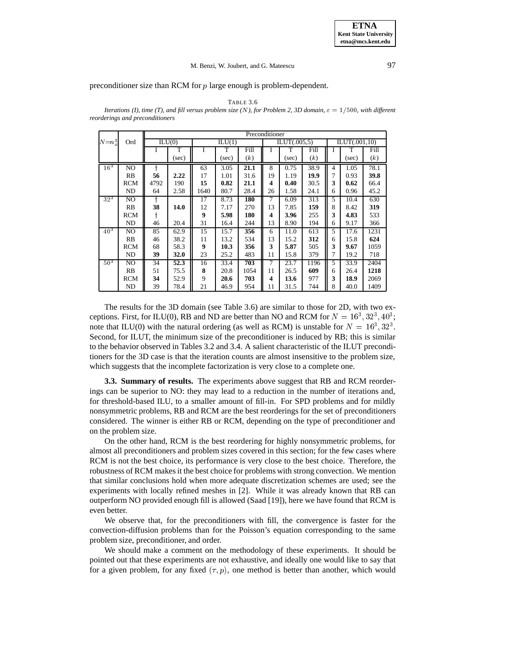preconditioner size than RCM for p large enough is problem-dependent.

#### TABLE 3.6

*Iterations (I), time (T), and fill versus problem size (N), for Problem 2, 3D domain,*  $\varepsilon = 1/500$ *, with different reorderings and preconditioners*

|                 |            |      | Preconditioner |      |        |      |    |                                   |      |   |               |      |
|-----------------|------------|------|----------------|------|--------|------|----|-----------------------------------|------|---|---------------|------|
| $N = n_x^3$     | Ord        |      | ILU(0)         |      | ILU(1) |      |    | $\overline{\text{I LUT}(.005,5)}$ |      |   | ILUT(.001,10) |      |
|                 |            |      | T              |      | т      | Fill |    | т                                 | Fill |   | T             | Fill |
|                 |            |      | $(\sec)$       |      | (sec)  | (k)  |    | (sec)                             | (k)  |   | (sec)         | (k)  |
| 16 <sup>3</sup> | NO         | 4    |                | 63   | 3.05   | 21.1 | 8  | 0.75                              | 38.9 | 4 | 1.05          | 78.1 |
|                 | RB         | 56   | 2.22           | 17   | 1.01   | 31.6 | 19 | 1.19                              | 19.9 | 7 | 0.93          | 39.8 |
|                 | <b>RCM</b> | 4792 | 190            | 15   | 0.82   | 21.1 | 4  | 0.40                              | 30.5 | 3 | 0.62          | 66.4 |
|                 | ND         | 64   | 2.58           | 1640 | 80.7   | 28.4 | 26 | 1.58                              | 24.1 | 6 | 0.96          | 45.2 |
| $32^{3}$        | NO         | ŧ    |                | 17   | 8.73   | 180  | 7  | 6.09                              | 313  | 5 | 10.4          | 630  |
|                 | RB         | 38   | 14.0           | 12   | 7.17   | 270  | 13 | 7.85                              | 159  | 8 | 8.42          | 319  |
|                 | <b>RCM</b> |      |                | 9    | 5.98   | 180  | 4  | 3.96                              | 255  | 3 | 4.83          | 533  |
|                 | ND         | 46   | 20.4           | 31   | 16.4   | 244  | 13 | 8.90                              | 194  | 6 | 9.17          | 366  |
| $40^{3}$        | NO         | 85   | 62.9           | 15   | 15.7   | 356  | 6  | 11.0                              | 613  | 5 | 17.6          | 1231 |
|                 | RB         | 46   | 38.2           | 11   | 13.2   | 534  | 13 | 15.2                              | 312  | 6 | 15.8          | 624  |
|                 | <b>RCM</b> | 68   | 58.3           | 9    | 10.3   | 356  | 3  | 5.87                              | 505  | 3 | 9.67          | 1059 |
|                 | ND         | 39   | 32.0           | 23   | 25.2   | 483  | 11 | 15.8                              | 379  | 7 | 19.2          | 718  |
| 50 <sup>3</sup> | NO         | 34   | 52.3           | 16   | 33.4   | 703  | 7  | 23.7                              | 1196 | 5 | 33.9          | 2404 |
|                 | <b>RB</b>  | 51   | 75.5           | 8    | 20.8   | 1054 | 11 | 26.5                              | 609  | 6 | 26.4          | 1218 |
|                 | <b>RCM</b> | 34   | 52.9           | 9    | 20.6   | 703  | 4  | 13.6                              | 977  | 3 | 18.9          | 2069 |
|                 | ND         | 39   | 78.4           | 21   | 46.9   | 954  | 11 | 31.5                              | 744  | 8 | 40.0          | 1409 |

The results for the 3D domain (see Table 3.6) are similar to those for 2D, with two exceptions. First, for ILU(0), RB and ND are better than NO and RCM for  $N = 16^3, 32^3, 40^3$ ; note that ILU(0) with the natural ordering (as well as RCM) is unstable for  $N = 16^3, 32^3$ . Second, for ILUT, the minimum size of the preconditioner is induced by RB; this is similar to the behavior observed in Tables 3.2 and 3.4. A salient characteristic of the ILUT preconditioners for the 3D case is that the iteration counts are almost insensitive to the problem size, which suggests that the incomplete factorization is very close to a complete one.

**3.3. Summary of results.** The experiments above suggest that RB and RCM reorderings can be superior to NO: they may lead to a reduction in the number of iterations and, for threshold-based ILU, to a smaller amount of fill-in. For SPD problems and for mildly nonsymmetric problems, RB and RCM are the best reorderings for the set of preconditioners considered. The winner is either RB or RCM, depending on the type of preconditioner and on the problem size.

On the other hand, RCM is the best reordering for highly nonsymmetric problems, for almost all preconditioners and problem sizes covered in this section; for the few cases where RCM is not the best choice, its performance is very close to the best choice. Therefore, the robustness of RCM makes it the best choice for problems with strong convection. We mention that similar conclusions hold when more adequate discretization schemes are used; see the experiments with locally refined meshes in [2]. While it was already known that RB can outperform NO provided enough fill is allowed (Saad [19]), here we have found that RCM is even better.

We observe that, for the preconditioners with fill, the convergence is faster for the convection-diffusion problems than for the Poisson's equation corresponding to the same problem size, preconditioner, and order.

We should make a comment on the methodology of these experiments. It should be pointed out that these experiments are not exhaustive, and ideally one would like to say that for a given problem, for any fixed  $(\tau, p)$ , one method is better than another, which would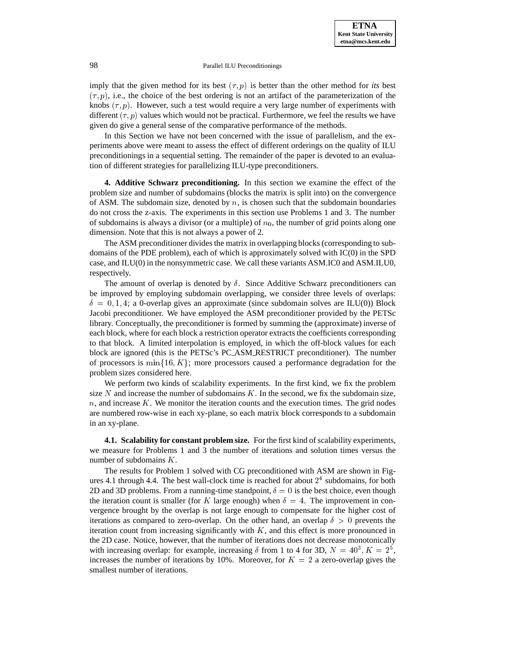imply that the given method for its best  $(\tau, p)$  is better than the other method for *its* best  $(\tau, p)$ , i.e., the choice of the best ordering is not an artifact of the parameterization of the knobs  $(\tau, p)$ . However, such a test would require a very large number of experiments with different  $(\tau, p)$  values which would not be practical. Furthermore, we feel the results we have given do give a general sense of the comparative performance of the methods.

In this Section we have not been concerned with the issue of parallelism, and the experiments above were meant to assess the effect of different orderings on the quality of ILU preconditionings in a sequential setting. The remainder of the paper is devoted to an evaluation of different strategies for parallelizing ILU-type preconditioners.

**4. Additive Schwarz preconditioning.** In this section we examine the effect of the problem size and number of subdomains (blocks the matrix is split into) on the convergence of ASM. The subdomain size, denoted by  $n$ , is chosen such that the subdomain boundaries do not cross the z-axis. The experiments in this section use Problems 1 and 3. The number of subdomains is always a divisor (or a multiple) of  $n_0$ , the number of grid points along one dimension. Note that this is not always a power of 2.

The ASM preconditioner divides the matrix in overlapping blocks (corresponding to subdomains of the PDE problem), each of which is approximately solved with IC(0) in the SPD case, and ILU(0) in the nonsymmetric case. We call these variants ASM.IC0 and ASM.ILU0, respectively.

The amount of overlap is denoted by  $\delta$ . Since Additive Schwarz preconditioners can be improved by employing subdomain overlapping, we consider three levels of overlaps:  $\delta = 0, 1, 4$ ; a 0-overlap gives an approximate (since subdomain solves are ILU(0)) Block Jacobi preconditioner. We have employed the ASM preconditioner provided by the PETSc library. Conceptually, the preconditioner is formed by summing the (approximate) inverse of each block, where for each block a restriction operator extracts the coefficients corresponding to that block. A limited interpolation is employed, in which the off-block values for each block are ignored (this is the PETSc's PC ASM RESTRICT preconditioner). The number of processors is min $\{16, K\}$ ; more processors caused a performance degradation for the problem sizes considered here.

We perform two kinds of scalability experiments. In the first kind, we fix the problem size N and increase the number of subdomains  $K$ . In the second, we fix the subdomain size,  $n$ , and increase K. We monitor the iteration counts and the execution times. The grid nodes are numbered row-wise in each xy-plane, so each matrix block corresponds to a subdomain in an xy-plane.

**4.1. Scalability for constant problem size.** For the first kind of scalability experiments, we measure for Problems 1 and 3 the number of iterations and solution times versus the number of subdomains K.

The results for Problem 1 solved with CG preconditioned with ASM are shown in Figures 4.1 through 4.4. The best wall-clock time is reached for about  $2<sup>4</sup>$  subdomains, for both 2D and 3D problems. From a running-time standpoint,  $\delta = 0$  is the best choice, even though the iteration count is smaller (for K large enough) when  $\delta = 4$ . The improvement in convergence brought by the overlap is not large enough to compensate for the higher cost of iterations as compared to zero-overlap. On the other hand, an overlap  $\delta > 0$  prevents the iteration count from increasing significantly with  $K$ , and this effect is more pronounced in the 2D case. Notice, however, that the number of iterations does not decrease monotonically with increasing overlap: for example, increasing  $\delta$  from 1 to 4 for 3D,  $N = 40^3$ ,  $K = 2^5$ , increases the number of iterations by 10%. Moreover, for  $K = 2$  a zero-overlap gives the smallest number of iterations.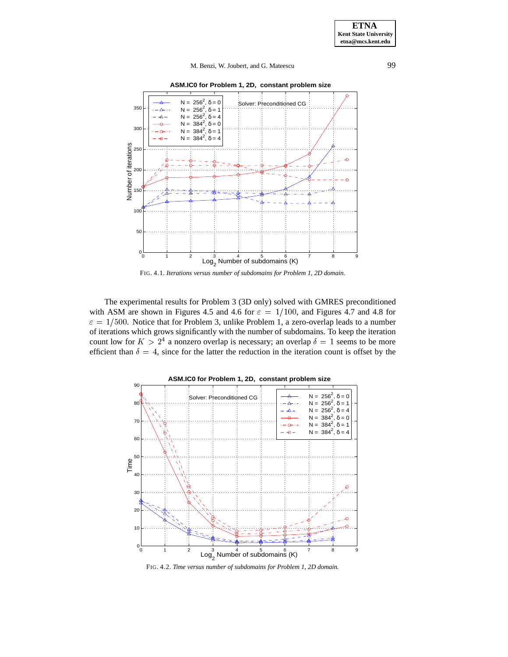**ASM.IC0 for Problem 1, 2D, constant problem size**



FIG. 4.1. *Iterations versus number of subdomains for Problem 1, 2D domain.*

The experimental results for Problem 3 (3D only) solved with GMRES preconditioned with ASM are shown in Figures 4.5 and 4.6 for  $\varepsilon = 1/100$ , and Figures 4.7 and 4.8 for  $\varepsilon = 1/500$ . Notice that for Problem 3, unlike Problem 1, a zero-overlap leads to a number of iterations which grows significantly with the number of subdomains. To keep the iteration count low for  $K > 2<sup>4</sup>$  a nonzero overlap is necessary; an overlap  $\delta = 1$  seems to be more efficient than  $\delta = 4$ , since for the latter the reduction in the iteration count is offset by the



FIG. 4.2. *Time versus number of subdomains for Problem 1, 2D domain.*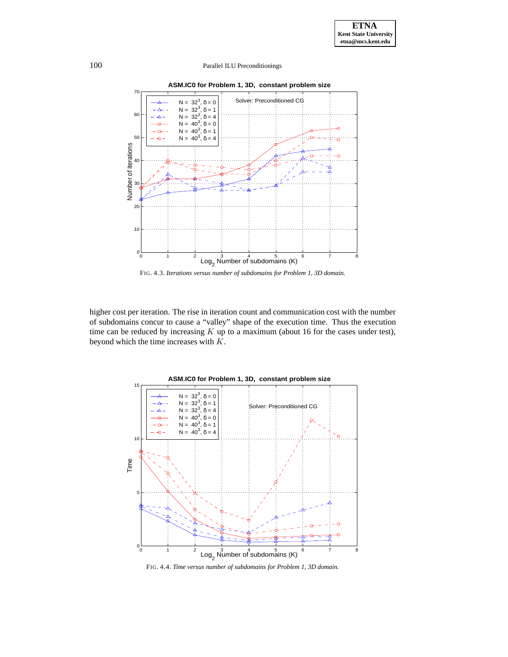

FIG. 4.3. *Iterations versus number of subdomains for Problem 1, 3D domain.*

higher cost per iteration. The rise in iteration count and communication cost with the number of subdomains concur to cause a "valley" shape of the execution time. Thus the execution time can be reduced by increasing  $K$  up to a maximum (about 16 for the cases under test), beyond which the time increases with  $K$ .



FIG. 4.4. *Time versus number of subdomains for Problem 1, 3D domain.*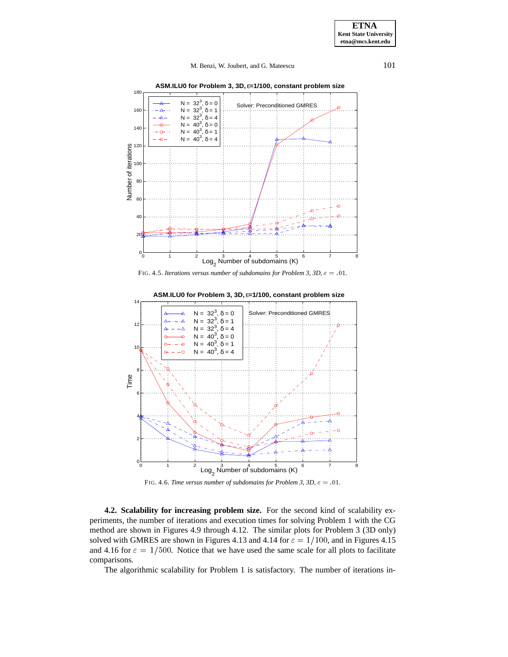**ASM.ILU0 for Problem 3, 3D,** ε**=1/100, constant problem size**



FIG. 4.5. *Iterations versus number of subdomains for Problem 3, 3D,*  $\varepsilon = .01$ *.* 



FIG. 4.6. *Time versus number of subdomains for Problem 3, 3D,*  $\varepsilon = .01$ .

**4.2. Scalability for increasing problem size.** For the second kind of scalability experiments, the number of iterations and execution times for solving Problem 1 with the CG method are shown in Figures 4.9 through 4.12. The similar plots for Problem 3 (3D only) solved with GMRES are shown in Figures 4.13 and 4.14 for  $\varepsilon = 1/100$ , and in Figures 4.15 and 4.16 for  $\varepsilon = 1/500$ . Notice that we have used the same scale for all plots to facilitate comparisons.

The algorithmic scalability for Problem 1 is satisfactory. The number of iterations in-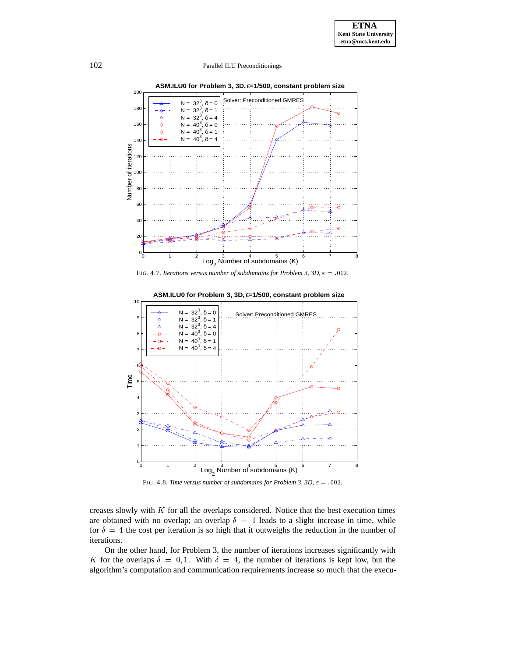

**ASM.ILU0 for Problem 3, 3D,** ε**=1/500, constant problem size**





FIG. 4.8. *Time versus number of subdomains for Problem 3, 3D,*  $\varepsilon = .002$ .

creases slowly with  $K$  for all the overlaps considered. Notice that the best execution times are obtained with no overlap; an overlap  $\delta = 1$  leads to a slight increase in time, while for  $\delta = 4$  the cost per iteration is so high that it outweighs the reduction in the number of iterations.

On the other hand, for Problem 3, the number of iterations increases significantly with K for the overlaps  $\delta = 0, 1$ . With  $\delta = 4$ , the number of iterations is kept low, but the algorithm's computation and communication requirements increase so much that the execu-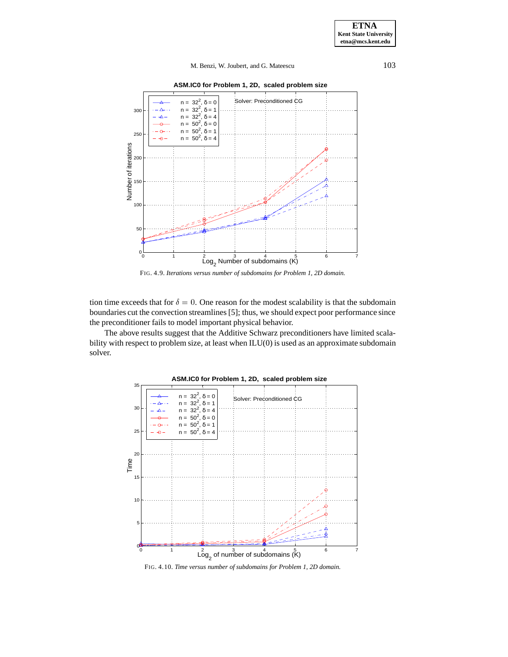**ASM.IC0 for Problem 1, 2D, scaled problem size**



FIG. 4.9. *Iterations versus number of subdomains for Problem 1, 2D domain.*

tion time exceeds that for  $\delta = 0$ . One reason for the modest scalability is that the subdomain boundaries cut the convection streamlines [5]; thus, we should expect poor performance since the preconditioner fails to model important physical behavior.

The above results suggest that the Additive Schwarz preconditioners have limited scalability with respect to problem size, at least when ILU(0) is used as an approximate subdomain solver.



**ASM.IC0 for Problem 1, 2D, scaled problem size**

FIG. 4.10. *Time versus number of subdomains for Problem 1, 2D domain.*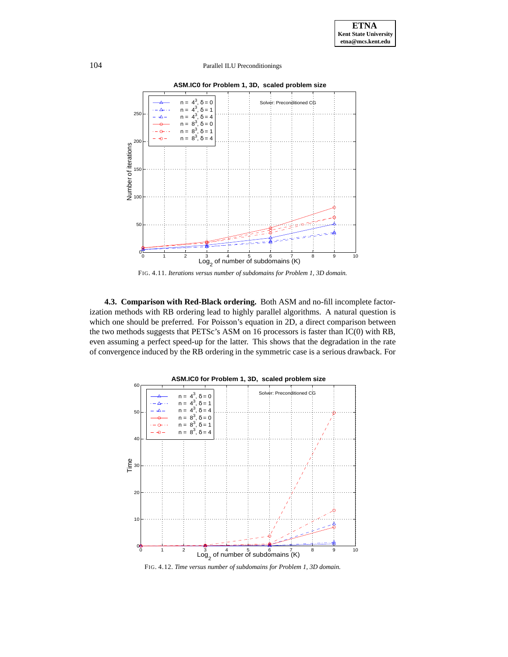

FIG. 4.11. *Iterations versus number of subdomains for Problem 1, 3D domain.*

**4.3. Comparison with Red-Black ordering.** Both ASM and no-fill incomplete factorization methods with RB ordering lead to highly parallel algorithms. A natural question is which one should be preferred. For Poisson's equation in 2D, a direct comparison between the two methods suggests that PETSc's ASM on 16 processors is faster than IC(0) with RB, even assuming a perfect speed-up for the latter. This shows that the degradation in the rate of convergence induced by the RB ordering in the symmetric case is a serious drawback. For



FIG. 4.12. *Time versus number of subdomains for Problem 1, 3D domain.*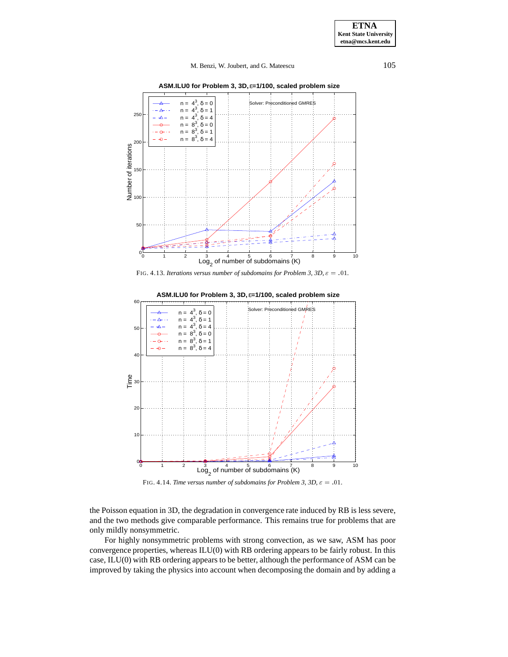**ASM.ILU0 for Problem 3, 3D,** ε**=1/100, scaled problem size**







FIG. 4.14. *Time versus number of subdomains for Problem 3, 3D,*  $\varepsilon = .01$ .

the Poisson equation in 3D, the degradation in convergence rate induced by RB is less severe, and the two methods give comparable performance. This remains true for problems that are only mildly nonsymmetric.

For highly nonsymmetric problems with strong convection, as we saw, ASM has poor convergence properties, whereas ILU(0) with RB ordering appears to be fairly robust. In this case, ILU(0) with RB ordering appears to be better, although the performance of ASM can be improved by taking the physics into account when decomposing the domain and by adding a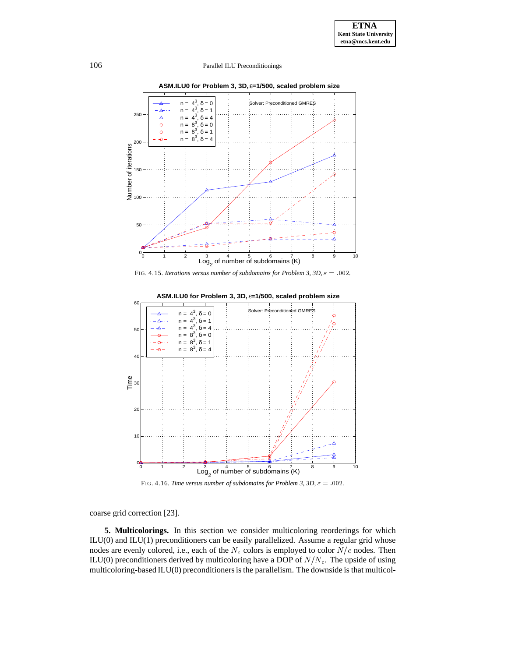

**ASM.ILU0 for Problem 3, 3D,** ε**=1/500, scaled problem size**







FIG. 4.16. *Time versus number of subdomains for Problem 3, 3D,*  $\varepsilon = .002$ *.* 

coarse grid correction [23].

**5. Multicolorings.** In this section we consider multicoloring reorderings for which ILU(0) and ILU(1) preconditioners can be easily parallelized. Assume a regular grid whose nodes are evenly colored, i.e., each of the  $N_c$  colors is employed to color  $N/c$  nodes. Then ILU(0) preconditioners derived by multicoloring have a DOP of  $N/N_c$ . The upside of using multicoloring-based ILU(0) preconditioners is the parallelism. The downside is that multicol-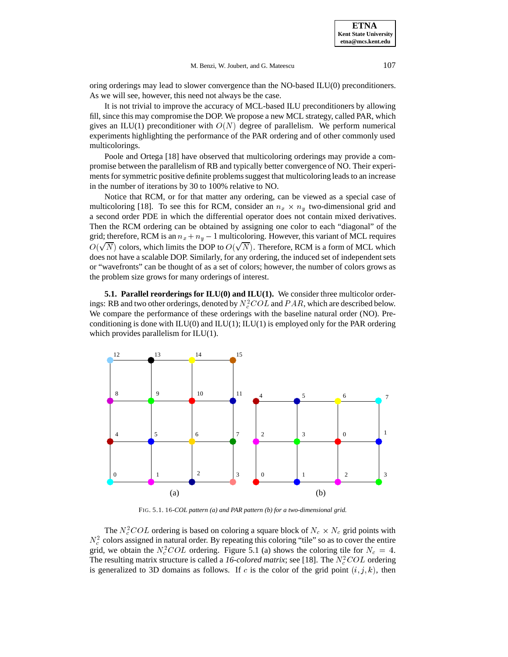oring orderings may lead to slower convergence than the NO-based ILU(0) preconditioners. As we will see, however, this need not always be the case.

It is not trivial to improve the accuracy of MCL-based ILU preconditioners by allowing fill, since this may compromise the DOP. We propose a new MCL strategy, called PAR, which gives an ILU(1) preconditioner with  $O(N)$  degree of parallelism. We perform numerical experiments highlighting the performance of the PAR ordering and of other commonly used multicolorings.

Poole and Ortega [18] have observed that multicoloring orderings may provide a compromise between the parallelism of RB and typically better convergence of NO. Their experiments for symmetric positive definite problems suggest that multicoloring leads to an increase in the number of iterations by 30 to 100% relative to NO.

Notice that RCM, or for that matter any ordering, can be viewed as a special case of multicoloring [18]. To see this for RCM, consider an  $n_x \times n_y$  two-dimensional grid and a second order PDE in which the differential operator does not contain mixed derivatives. Then the RCM ordering can be obtained by assigning one color to each "diagonal" of the grid; therefore, RCM is an  $n_x + n_y - 1$  multicoloring. However, this variant of MCL requires  $O(\sqrt{N})$  colors, which limits the DOP to  $O(\sqrt{N})$ . Therefore, RCM is a form of MCL which does not have a scalable DOP. Similarly, for any ordering, the induced set of independent sets or "wavefronts" can be thought of as a set of colors; however, the number of colors grows as the problem size grows for many orderings of interest.

**5.1. Parallel reorderings for ILU(0) and ILU(1).** We consider three multicolor orderings: RB and two other orderings, denoted by  $N_c^2 COL$  and  $PAR$ , which are described below. We compare the performance of these orderings with the baseline natural order (NO). Preconditioning is done with  $ILU(0)$  and  $ILU(1)$ ;  $ILU(1)$  is employed only for the PAR ordering which provides parallelism for ILU(1).



FIG. 5.1. <sup>16</sup>*-COL pattern (a) and PAR pattern (b) for a two-dimensional grid.*

The  $N_c^2 COL$  ordering is based on coloring a square block of  $N_c \times N_c$  grid points with  $N_c^2$  colors assigned in natural order. By repeating this coloring "tile" so as to cover the entire grid, we obtain the  $N_c^2 COL$  ordering. Figure 5.1 (a) shows the coloring tile for  $N_c = 4$ . The resulting matrix structure is called a 16-colored matrix; see [18]. The  $N_c^2 COL$  ordering is generalized to 3D domains as follows. If  $c$  is the color of the grid point  $(i, j, k)$ , then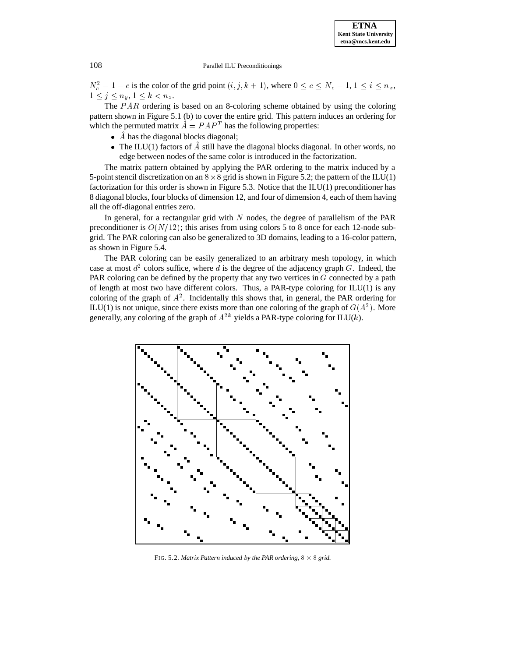$N_c^2 - 1 - c$  is the color of the grid point  $(i, j, k + 1)$ , where  $0 \le c \le N_c - 1$ ,  $1 \le i \le n_x$ ,  $1 \leq j \leq n_y, 1 \leq k < n_z$ .

The  $PAR$  ordering is based on an 8-coloring scheme obtained by using the coloring pattern shown in Figure 5.1 (b) to cover the entire grid. This pattern induces an ordering for which the permuted matrix  $A = P A P^T$  has the following properties:

- A has the diagonal blocks diagonal;
- The ILU(1) factors of  $\ddot{A}$  still have the diagonal blocks diagonal. In other words, no edge between nodes of the same color is introduced in the factorization.

The matrix pattern obtained by applying the PAR ordering to the matrix induced by a 5-point stencil discretization on an  $8 \times 8$  grid is shown in Figure 5.2; the pattern of the ILU(1) factorization for this order is shown in Figure 5.3. Notice that the ILU(1) preconditioner has 8 diagonal blocks, four blocks of dimension 12, and four of dimension 4, each of them having all the off-diagonal entries zero.

In general, for a rectangular grid with  $N$  nodes, the degree of parallelism of the PAR preconditioner is  $O(N/12)$ ; this arises from using colors 5 to 8 once for each 12-node subgrid. The PAR coloring can also be generalized to 3D domains, leading to a 16-color pattern, as shown in Figure 5.4.

The PAR coloring can be easily generalized to an arbitrary mesh topology, in which case at most  $d^2$  colors suffice, where d is the degree of the adjacency graph G. Indeed, the PAR coloring can be defined by the property that any two vertices in  $G$  connected by a path of length at most two have different colors. Thus, a PAR-type coloring for ILU(1) is any coloring of the graph of  $A<sup>2</sup>$ . Incidentally this shows that, in general, the PAR ordering for ILU(1) is not unique, since there exists more than one coloring of the graph of  $G(A^2)$ . More generally, any coloring of the graph of  $A^{2k}$  yields a PAR-type coloring for ILU(k).



FIG. 5.2. Matrix Pattern induced by the PAR ordering,  $8 \times 8$  grid.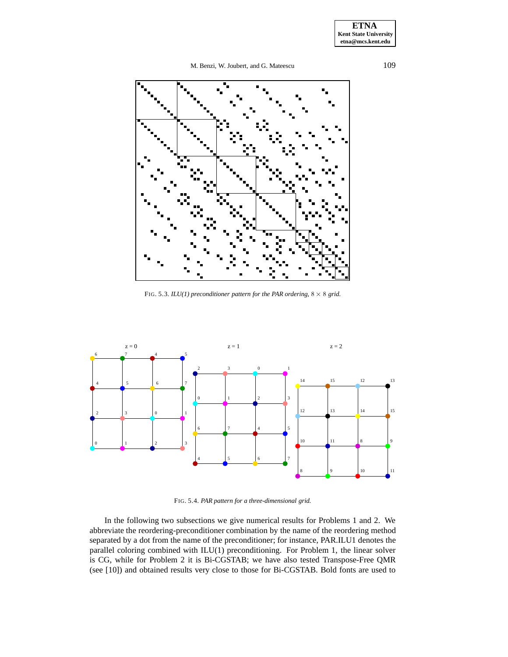**ETNA Kent State University etna@mcs.kent.edu**

M. Benzi, W. Joubert, and G. Mateescu 109



FIG. 5.3.  $ILU(1)$  preconditioner pattern for the PAR ordering,  $8 \times 8$  grid.



FIG. 5.4. *PAR pattern for a three-dimensional grid.*

In the following two subsections we give numerical results for Problems 1 and 2. We abbreviate the reordering-preconditioner combination by the name of the reordering method separated by a dot from the name of the preconditioner; for instance, PAR.ILU1 denotes the parallel coloring combined with ILU(1) preconditioning. For Problem 1, the linear solver is CG, while for Problem 2 it is Bi-CGSTAB; we have also tested Transpose-Free QMR (see [10]) and obtained results very close to those for Bi-CGSTAB. Bold fonts are used to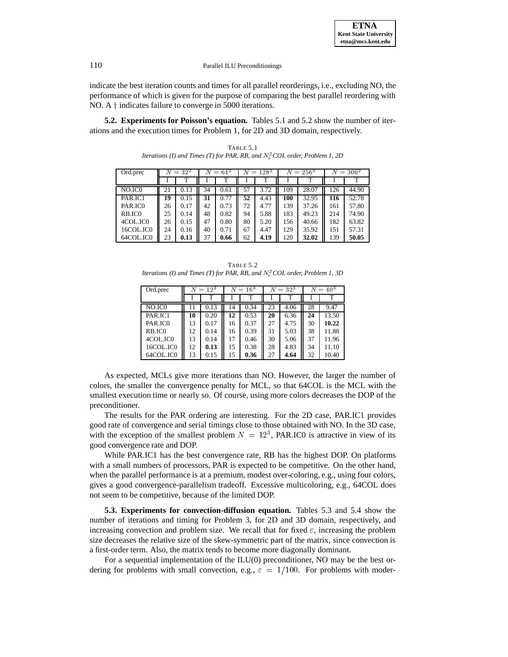

indicate the best iteration counts and times for all parallel reorderings, i.e., excluding NO, the performance of which is given for the purpose of comparing the best parallel reordering with NO. A  $\dagger$  indicates failure to converge in 5000 iterations.

**5.2. Experiments for Poisson's equation.** Tables 5.1 and 5.2 show the number of iterations and the execution times for Problem 1, for 2D and 3D domain, respectively.

Ord.prec  $N = 32^2$   $N = 64^2$   $N = 128^2$   $N = 256^2$   $N = 300^2$ I T I T I T I T I T NO.IC0 || 21 | 0.13 || 34 | 0.61 || 57 | 3.72 || 109 | 28.07 || 126 | 44.90 PAR.IC1 **19** 0.15 **31** 0.77 **52** 4.43 **100** 32.95 **116** 52.78 PAR.IC0 || 26 | 0.17 || 42 | 0.73 || 72 | 4.77 || 139 | 37.26 || 161 | 57.80 RB.IC0 || 25 | 0.14 || 48 | 0.82 || 94 | 5.88 || 183 | 49.23 || 214 | 74.90 4COL.IC0  $\parallel$  26 0.15  $\parallel$  47 0.80  $\parallel$  80 5.20  $\parallel$  156 40.66  $\parallel$  182 63.82 16COL.IC0 24 0.16 40 0.71 67 4.47 129 35.92 151 57.31<br>64COL.IC0 23 0.13 37 0.66 62 4.19 120 32.02 139 50.05 64COL.IC0 23 **0.13** 37 **0.66** 62 **4.19** 120 **32.02** 139 **50.05**

TABLE 5.1 *Iterations (I) and Times (T) for PAR, RB, and*  $N_c^2$  *COL order, Problem 1, 2D* 

| <b>TABLE 5.2</b>                                                               |
|--------------------------------------------------------------------------------|
| Iterations (I) and Times (T) for PAR, RB, and $N_c^2$ COL order, Problem 1, 3D |

| Ord.prec           |    | $N = 12^3$ |    | $N = 16^3$ |    | $N = 32^3$ |    | $N = 40^{3}$ |  |
|--------------------|----|------------|----|------------|----|------------|----|--------------|--|
|                    |    |            |    |            |    |            |    | т            |  |
| NO.IC <sub>0</sub> |    | 0.13       | 14 | 0.34       | 23 | 4.06       | 28 | 9.47         |  |
| PAR.IC1            | 10 | 0.20       | 12 | 0.53       | 20 | 6.36       | 24 | 13.50        |  |
| PAR ICO            | 13 | 0.17       | 16 | 0.37       | 27 | 4.75       | 30 | 10.22        |  |
| RB.IC <sub>0</sub> | 12 | 0.14       | 16 | 0.39       | 31 | 5.03       | 38 | 11.88        |  |
| 4COL.ICO           | 13 | 0.14       | 17 | 0.46       | 30 | 5.06       | 37 | 11.96        |  |
| 16COL.ICO          | 12 | 0.13       | 15 | 0.38       | 28 | 4.83       | 34 | 11.10        |  |
| 64COL.ICO          | 13 | 0.15       | 15 | 0.36       | 27 | 4.64       | 32 | 10.40        |  |

As expected, MCLs give more iterations than NO. However, the larger the number of colors, the smaller the convergence penalty for MCL, so that 64COL is the MCL with the smallest execution time or nearly so. Of course, using more colors decreases the DOP of the preconditioner.

The results for the PAR ordering are interesting. For the 2D case, PAR.IC1 provides good rate of convergence and serial timings close to those obtained with NO. In the 3D case, with the exception of the smallest problem  $N = 12<sup>3</sup>$ , PAR.ICO is attractive in view of its good convergence rate and DOP.

While PAR.IC1 has the best convergence rate, RB has the highest DOP. On platforms with a small numbers of processors, PAR is expected to be competitive. On the other hand, when the parallel performance is at a premium, modest over-coloring, e.g., using four colors, gives a good convergence-parallelism tradeoff. Excessive multicoloring, e.g., 64COL does not seem to be competitive, because of the limited DOP.

**5.3. Experiments for convection-diffusion equation.** Tables 5.3 and 5.4 show the number of iterations and timing for Problem 3, for 2D and 3D domain, respectively, and increasing convection and problem size. We recall that for fixed  $\varepsilon$ , increasing the problem size decreases the relative size of the skew-symmetric part of the matrix, since convection is a first-order term. Also, the matrix tends to become more diagonally dominant.

For a sequential implementation of the ILU(0) preconditioner, NO may be the best ordering for problems with small convection, e.g.,  $\varepsilon = 1/100$ . For problems with moder-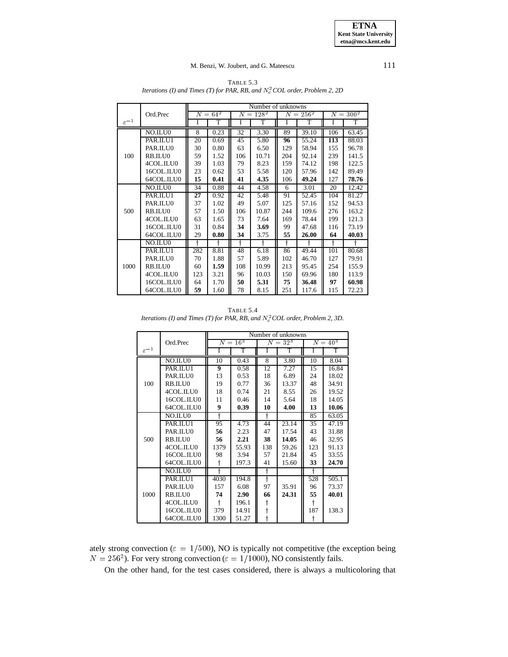Number of unknowns Ord.Prec  $N = 64^2$   $N = 128^2$   $N = 256^2$   $N = 300^2$  $\varepsilon^{-1}$ I T | I | T | I | T | I | T NO.ILU0 | 8 0.23 32 3.30 89 39.10 106 63.45 PAR.ILU1 20 0.69 45 5.80 **96** 55.24 **113** 88.03 PAR.ILU0 30 0.80 63 6.50 129 58.94 55 96.78<br>RB.ILU0 59 1.52 106 10.71 204 92.14 239 141.5 100 RB.ILU0 | 59 | 1.52 | 106 | 10.71 | 204 | 92.14 | 239 | 141.5 4COL.ILU0 39 1.03 79 8.23 159 74.12 198 122.5<br>16COL.ILU0 23 0.62 5.58 120 57.96 142 89.49 16COL.ILU0 64COL.ILU0 **15 0.41 41 4.35** 106 **49.24** 127 **78.76** NO.ILU0 34 0.88 44 4.58 6 3.01 20 12.42<br>PAR.ILU1 27 0.92 42 5.48 91 52.45 104 81.27 **PAR.ILU1 27** 0.92 42 PAR.ILU0 || 37 | 1.02 || 49 | 5.07 || 125 | 57.16 || 152 | 94.53 500 RB.ILU0 57 1.50 106 10.87 244 109.6 276 163.2<br>4COL.ILU0 63 1.65 73 7.64 169 78.44 199 121.3 4COL.ILU0 63 1.65 73 7.64 169 78.44 799 16COL.ILU0 31 0.84 **34** 3.69 99 47.68 116 73.19<br>64COL.ILU0 29 0.80 34 3.75 55 26.00 64 40.03 64COL.ILU0 29 **0.80 34** 3.75 **55 26.00 64 40.03** NO.ILU0 y y y y y y y y PAR.ILU1 282 8.81 48 6.18 86 49.44 101 80.68 PAR.ILU0 | 70 | 1.88 | 57 | 5.89 | 102 | 46.70 | 127 | 79.91 1000 RB.ILU0 60 1.59 108 10.99 213 95.45 254 155.9<br>4COL.ILU0 123 3.21 96 10.03 150 69.96 180 113.9 4COL.ILU0 || 123 | 3.21 || 96 | 10.03 || 150 | 69.96 || 180 16COL.ILU0 64 1.70 **50 5.31 75 36.48 97 60.98** 64COL.ILU0 **59** 1.60 78 8.15 251 117.6 115 72.23

TABLE 5.3 *Iterations (I) and Times (T) for PAR, RB, and*  $N_c^2$  *COL order, Problem 2, 2D* 

| <b>TABLE 5.4</b>                                                                |
|---------------------------------------------------------------------------------|
| Iterations (I) and Times (T) for PAR, RB, and $N_c^2$ COL order, Problem 2, 3D. |

|                    |            |      |          |     | Number of unknowns |     |                 |
|--------------------|------------|------|----------|-----|--------------------|-----|-----------------|
|                    | Ord.Prec   |      | $N=16^3$ |     | $N = 32^3$         |     | $N \equiv 40^3$ |
| $\varepsilon^{-1}$ |            | Ī    | T        | I   | T                  | Ī   | T               |
|                    | NO.ILU0    | 10   | 0.43     | 8   | 3.80               | 10  | 8.04            |
|                    | PAR.ILU1   | 9    | 0.58     | 12  | 7.27               | 15  | 16.84           |
|                    | PAR.ILU0   | 13   | 0.53     | 18  | 6.89               | 24  | 18.02           |
| 100                | RB.ILU0    | 19   | 0.77     | 36  | 13.37              | 48  | 34.91           |
|                    | 4COL.ILU0  | 18   | 0.74     | 21  | 8.55               | 26  | 19.52           |
|                    | 16COL.ILU0 | 11   | 0.46     | 14  | 5.64               | 18  | 14.05           |
|                    | 64COL.ILU0 | 9    | 0.39     | 10  | 4.00               | 13  | 10.06           |
|                    | NO.ILU0    | ╬    |          |     |                    | 85  | 63.05           |
|                    | PAR.ILU1   | 95   | 4.73     | 44  | 23.14              | 35  | 47.19           |
|                    | PAR.ILU0   | 56   | 2.23     | 47  | 17.54              | 43  | 31.88           |
| 500                | RB.ILU0    | 56   | 2.21     | 38  | 14.05              | 46  | 32.95           |
|                    | 4COL.ILU0  | 1379 | 55.93    | 138 | 59.26              | 123 | 91.13           |
|                    | 16COL.ILU0 | 98   | 3.94     | 57  | 21.84              | 45  | 33.55           |
|                    | 64COL.ILU0 |      | 197.3    | 41  | 15.60              | 33  | 24.70           |
|                    | NO.ILU0    | 4    |          |     |                    |     |                 |
|                    | PAR.ILU1   | 4030 | 194.8    |     |                    | 528 | 505.1           |
|                    | PAR.ILU0   | 157  | 6.08     | 97  | 35.91              | 96  | 73.37           |
| 1000               | RB.ILU0    | 74   | 2.90     | 66  | 24.31              | 55  | 40.01           |
|                    | 4COL.ILU0  |      | 196.1    |     |                    | t   |                 |
|                    | 16COL.ILU0 | 379  | 14.91    |     |                    | 187 | 138.3           |
|                    | 64COL.ILU0 | 1300 | 51.27    |     |                    |     |                 |

ately strong convection ( $\varepsilon = 1/500$ ), NO is typically not competitive (the exception being  $N = 256^2$ ). For very strong convection ( $\varepsilon = 1/1000$ ), NO consistently fails.

On the other hand, for the test cases considered, there is always a multicoloring that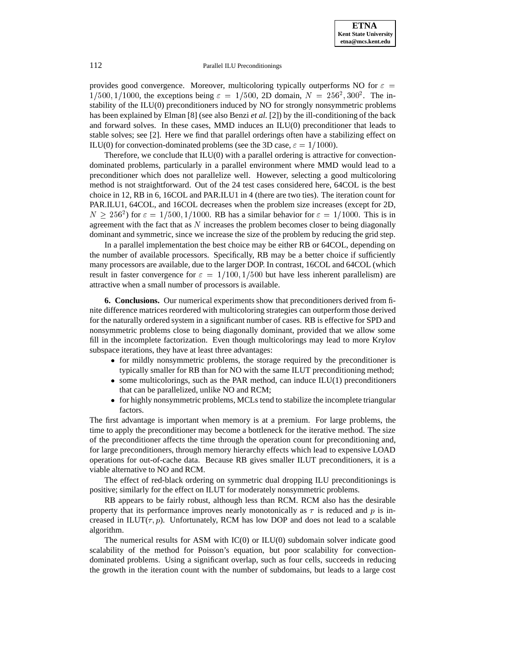provides good convergence. Moreover, multicoloring typically outperforms NO for  $\varepsilon =$  $1/500$ ,  $1/1000$ , the exceptions being  $\varepsilon = 1/500$ , 2D domain,  $N = 256^2, 300^2$ . The instability of the ILU(0) preconditioners induced by NO for strongly nonsymmetric problems has been explained by Elman [8] (see also Benzi *et al.* [2]) by the ill-conditioning of the back and forward solves. In these cases,  $MMD$  induces an  $ILU(0)$  preconditioner that leads to stable solves; see [2]. Here we find that parallel orderings often have a stabilizing effect on ILU(0) for convection-dominated problems (see the 3D case,  $\varepsilon = 1/1000$ ).

Therefore, we conclude that  $ILU(0)$  with a parallel ordering is attractive for convectiondominated problems, particularly in a parallel environment where MMD would lead to a preconditioner which does not parallelize well. However, selecting a good multicoloring method is not straightforward. Out of the 24 test cases considered here, 64COL is the best choice in 12, RB in 6, 16COL and PAR.ILU1 in 4 (there are two ties). The iteration count for PAR.ILU1, 64COL, and 16COL decreases when the problem size increases (except for 2D,  $N \ge 256^2$ ) for  $\varepsilon = 1/500, 1/1000$ . RB has a similar behavior for  $\varepsilon = 1/1000$ . This is in agreement with the fact that as  $N$  increases the problem becomes closer to being diagonally dominant and symmetric, since we increase the size of the problem by reducing the grid step.

In a parallel implementation the best choice may be either RB or 64COL, depending on the number of available processors. Specifically, RB may be a better choice if sufficiently many processors are available, due to the larger DOP. In contrast, 16COL and 64COL (which result in faster convergence for  $\varepsilon = 1/100, 1/500$  but have less inherent parallelism) are attractive when a small number of processors is available.

**6. Conclusions.** Our numerical experiments show that preconditioners derived from finite difference matrices reordered with multicoloring strategies can outperform those derived for the naturally ordered system in a significant number of cases. RB is effective for SPD and nonsymmetric problems close to being diagonally dominant, provided that we allow some fill in the incomplete factorization. Even though multicolorings may lead to more Krylov subspace iterations, they have at least three advantages:

- for mildly nonsymmetric problems, the storage required by the preconditioner is typically smaller for RB than for NO with the same ILUT preconditioning method;
- $\bullet$  some multicolorings, such as the PAR method, can induce ILU(1) preconditioners that can be parallelized, unlike NO and RCM;
- for highly nonsymmetric problems, MCLs tend to stabilize the incomplete triangular factors.

The first advantage is important when memory is at a premium. For large problems, the time to apply the preconditioner may become a bottleneck for the iterative method. The size of the preconditioner affects the time through the operation count for preconditioning and, for large preconditioners, through memory hierarchy effects which lead to expensive LOAD operations for out-of-cache data. Because RB gives smaller ILUT preconditioners, it is a viable alternative to NO and RCM.

The effect of red-black ordering on symmetric dual dropping ILU preconditionings is positive; similarly for the effect on ILUT for moderately nonsymmetric problems.

RB appears to be fairly robust, although less than RCM. RCM also has the desirable property that its performance improves nearly monotonically as  $\tau$  is reduced and p is increased in ILUT( $\tau$ ,  $p$ ). Unfortunately, RCM has low DOP and does not lead to a scalable algorithm.

The numerical results for ASM with  $IC(0)$  or  $ILU(0)$  subdomain solver indicate good scalability of the method for Poisson's equation, but poor scalability for convectiondominated problems. Using a significant overlap, such as four cells, succeeds in reducing the growth in the iteration count with the number of subdomains, but leads to a large cost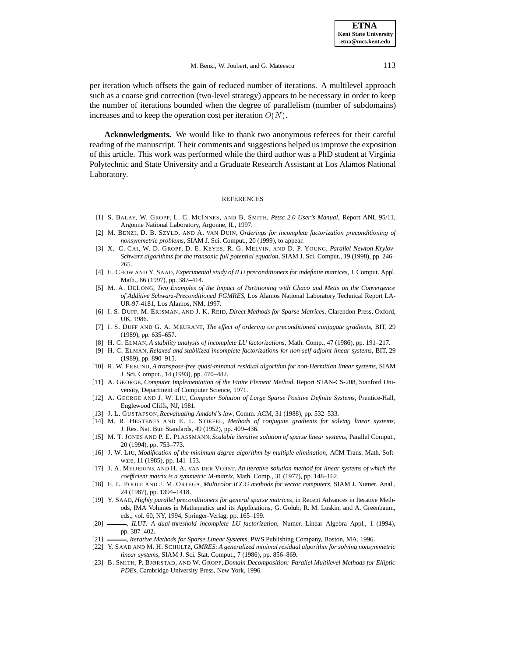per iteration which offsets the gain of reduced number of iterations. A multilevel approach such as a coarse grid correction (two-level strategy) appears to be necessary in order to keep the number of iterations bounded when the degree of parallelism (number of subdomains) increases and to keep the operation cost per iteration  $O(N)$ .

**Acknowledgments.** We would like to thank two anonymous referees for their careful reading of the manuscript. Their comments and suggestions helped us improve the exposition of this article. This work was performed while the third author was a PhD student at Virginia Polytechnic and State University and a Graduate Research Assistant at Los Alamos National Laboratory.

#### REFERENCES

- [1] S. BALAY, W. GROPP, L. C. MCINNES, AND B. SMITH, *Petsc 2.0 User's Manual*, Report ANL 95/11, Argonne National Laboratory, Argonne, IL, 1997.
- [2] M. BENZI, D. B. SZYLD, AND A. VAN DUIN, *Orderings for incomplete factorization preconditioning of nonsymmetric problems*, SIAM J. Sci. Comput., 20 (1999), to appear.
- [3] X.–C. CAI, W. D. GROPP, D. E. KEYES, R. G. MELVIN, AND D. P. YOUNG, *Parallel Newton-Krylov-Schwarz algorithms for the transonic full potential equation*, SIAM J. Sci. Comput., 19 (1998), pp. 246– 265.
- [4] E. CHOW AND Y. SAAD, *Experimental study of ILU preconditioners for indefinite matrices*, J. Comput. Appl. Math., 86 (1997), pp. 387–414.
- [5] M. A. DELONG, *Two Examples of the Impact of Partitioning with Chaco and Metis on the Convergence of Additive Schwarz-Preconditioned FGMRES*, Los Alamos National Laboratory Technical Report LA-UR-97-4181, Los Alamos, NM, 1997.
- [6] I. S. DUFF, M. ERISMAN, AND J. K. REID, *Direct Methods for Sparse Matrices*, Clarendon Press, Oxford, UK, 1986.
- [7] I. S. DUFF AND G. A. MEURANT, *The effect of ordering on preconditioned conjugate gradients*, BIT, 29 (1989), pp. 635–657.
- [8] H. C. ELMAN, *A stability analysis of incomplete LU factorizations*, Math. Comp., 47 (1986), pp. 191–217.
- [9] H. C. ELMAN, *Relaxed and stabilized incomplete factorizations for non-self-adjoint linear systems*, BIT, 29 (1989), pp. 890–915.
- [10] R. W. FREUND, *A transpose-free quasi-minimal residual algorithm for non-Hermitian linear systems*, SIAM J. Sci. Comput., 14 (1993), pp. 470–482.
- [11] A. GEORGE, *Computer Implementation of the Finite Element Method*, Report STAN-CS-208, Stanford University, Department of Computer Science, 1971.
- [12] A. GEORGE AND J. W. LIU, *Computer Solution of Large Sparse Positive Definite Systems*, Prentice-Hall, Englewood Cliffs, NJ, 1981.
- [13] J. L. GUSTAFSON, *Reevaluating Amdahl's law*, Comm. ACM, 31 (1988), pp. 532–533.
- [14] M. R. HESTENES AND E. L. STIEFEL, *Methods of conjugate gradients for solving linear systems*, J. Res. Nat. Bur. Standards, 49 (1952), pp. 409–436.
- [15] M. T. JONES AND P. E. PLASSMANN, *Scalable iterative solution of sparse linear systems*, Parallel Comput., 20 (1994), pp. 753–773.
- [16] J. W. LIU, *Modification of the minimum degree algorithm by multiple elimination*, ACM Trans. Math. Software, 11 (1985), pp. 141–153.
- [17] J. A. MEIJERINK AND H. A. VAN DER VORST, *An iterative solution method for linear systems of which the coefficient matrix is a symmetric M-matrix*, Math. Comp., 31 (1977), pp. 148–162.
- [18] E. L. POOLE AND J. M. ORTEGA, *Multicolor ICCG methods for vector computers*, SIAM J. Numer. Anal., 24 (1987), pp. 1394–1418.
- [19] Y. SAAD, *Highly parallel preconditioners for general sparse matrices*, in Recent Advances in Iterative Methods, IMA Volumes in Mathematics and its Applications, G. Golub, R. M. Luskin, and A. Greenbaum, eds., vol. 60, NY, 1994, Springer-Verlag, pp. 165–199.
- [20] , *ILUT: A dual-threshold incomplete LU factorization*, Numer. Linear Algebra Appl., 1 (1994), pp. 387–402.
- [21] , *Iterative Methods for Sparse Linear Systems*, PWS Publishing Company, Boston, MA, 1996.
- [22] Y. SAAD AND M. H. SCHULTZ, *GMRES: A generalized minimal residual algorithm for solving nonsymmetric linear systems*, SIAM J. Sci. Stat. Comput., 7 (1986), pp. 856–869.
- [23] B. SMITH, P. BJØRSTAD, AND W. GROPP, *Domain Decomposition: Parallel Multilevel Methods for Elliptic PDEs*, Cambridge University Press, New York, 1996.